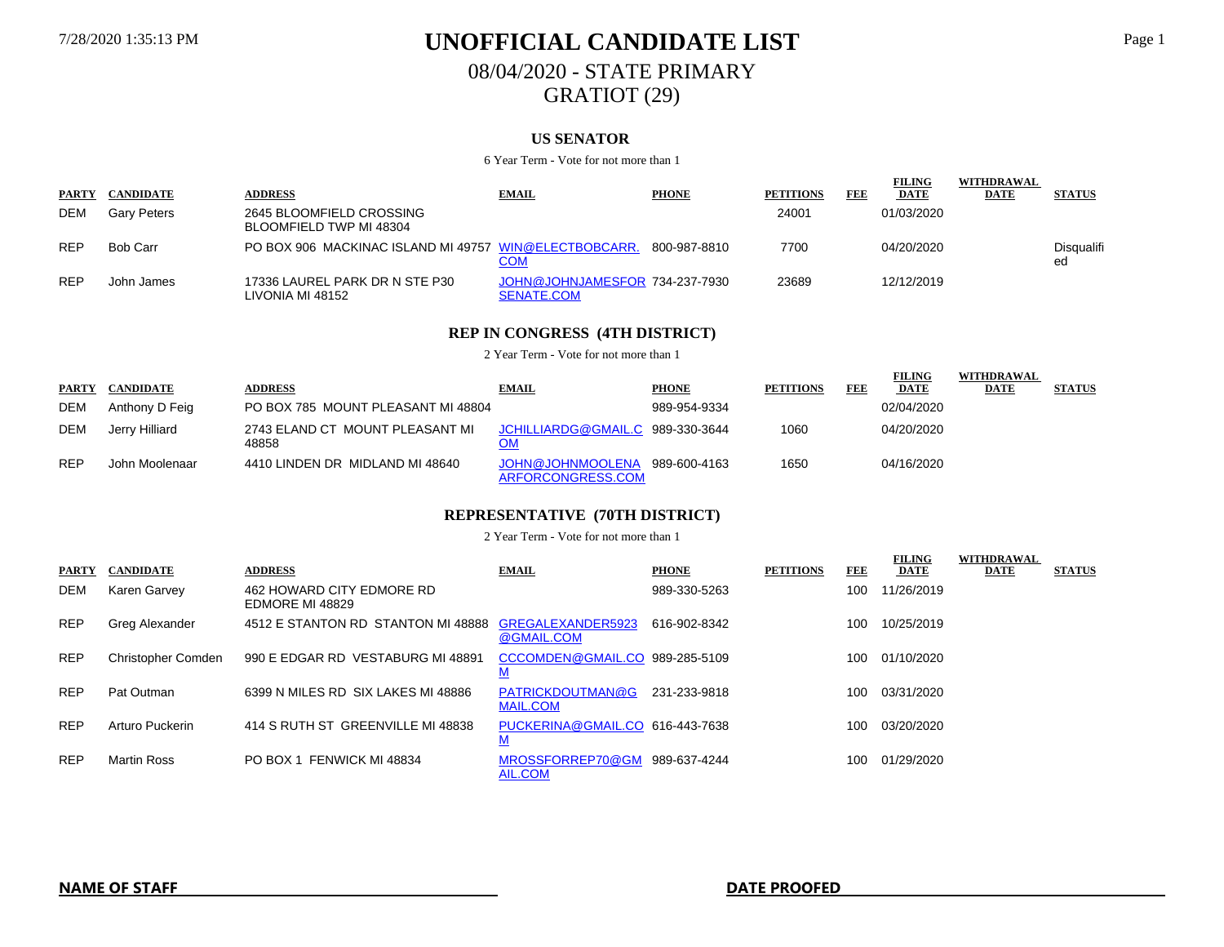# 7/28/2020 1:35:13 PM **UNOFFICIAL CANDIDATE LIST** Page 1 08/04/2020 - STATE PRIMARY GRATIOT (29)

### **US SENATOR**

#### 6 Year Term - Vote for not more than 1

|              |                    |                                                       |                                              |              |                  |     | <b>FILING</b> | WITHDRAWAL  |                  |
|--------------|--------------------|-------------------------------------------------------|----------------------------------------------|--------------|------------------|-----|---------------|-------------|------------------|
| <b>PARTY</b> | <b>CANDIDATE</b>   | <b>ADDRESS</b>                                        | <b>EMAIL</b>                                 | <b>PHONE</b> | <b>PETITIONS</b> | FEE | <b>DATE</b>   | <b>DATE</b> | <b>STATUS</b>    |
| DEM          | <b>Garv Peters</b> | 2645 BLOOMFIELD CROSSING<br>BLOOMFIELD TWP MI 48304   |                                              |              | 24001            |     | 01/03/2020    |             |                  |
| <b>REP</b>   | Bob Carr           | PO BOX 906 MACKINAC ISLAND MI 49757 WIN@ELECTBOBCARR. | COM                                          | 800-987-8810 | 7700             |     | 04/20/2020    |             | Disgualifi<br>ed |
| <b>REP</b>   | John James         | 17336 LAUREL PARK DR N STE P30<br>LIVONIA MI 48152    | JOHN@JOHNJAMESFOR 734-237-7930<br>SENATE.COM |              | 23689            |     | 12/12/2019    |             |                  |

### **REP IN CONGRESS (4TH DISTRICT)**

2 Year Term - Vote for not more than 1

|              |                  |                                          |                                        |              |                  |            | FILING      | WITHDRAWAL  |               |
|--------------|------------------|------------------------------------------|----------------------------------------|--------------|------------------|------------|-------------|-------------|---------------|
| <b>PARTY</b> | <b>CANDIDATE</b> | <b>ADDRESS</b>                           | <b>EMAIL</b>                           | <b>PHONE</b> | <b>PETITIONS</b> | <b>FEE</b> | <b>DATE</b> | <b>DATE</b> | <b>STATUS</b> |
| <b>DEM</b>   | Anthony D Feig   | PO BOX 785 MOUNT PLEASANT MI 48804       |                                        | 989-954-9334 |                  |            | 02/04/2020  |             |               |
| DEM          | Jerry Hilliard   | 2743 ELAND CT MOUNT PLEASANT MI<br>48858 | JCHILLIARDG@GMAIL.C 989-330-3644<br>OM |              | 1060             |            | 04/20/2020  |             |               |
| <b>REP</b>   | John Moolenaar   | 4410 LINDEN DR MIDLAND MI 48640          | JOHN@JOHNMOOLENA<br>ARFORCONGRESS.COM  | 989-600-4163 | 1650             |            | 04/16/2020  |             |               |

### **REPRESENTATIVE (70TH DISTRICT)**

| <b>PARTY</b> | <b>CANDIDATE</b>   | <b>ADDRESS</b>                               | <b>EMAIL</b>                                | <b>PHONE</b> | <b>PETITIONS</b> | FEE | <b>FILING</b><br><b>DATE</b> | <b>WITHDRAWAL</b><br><b>DATE</b> | <b>STATUS</b> |
|--------------|--------------------|----------------------------------------------|---------------------------------------------|--------------|------------------|-----|------------------------------|----------------------------------|---------------|
| DEM          | Karen Garvey       | 462 HOWARD CITY EDMORE RD<br>EDMORE MI 48829 |                                             | 989-330-5263 |                  | 100 | 11/26/2019                   |                                  |               |
| <b>REP</b>   | Greg Alexander     | 4512 E STANTON RD STANTON MI 48888           | GREGALEXANDER5923<br>@GMAIL.COM             | 616-902-8342 |                  | 100 | 10/25/2019                   |                                  |               |
| <b>REP</b>   | Christopher Comden | 990 E EDGAR RD VESTABURG MI 48891            | CCCOMDEN@GMAIL.CO 989-285-5109<br><u>M</u>  |              |                  | 100 | 01/10/2020                   |                                  |               |
| <b>REP</b>   | Pat Outman         | 6399 N MILES RD SIX LAKES MI 48886           | PATRICKDOUTMAN@G<br><b>MAIL.COM</b>         | 231-233-9818 |                  | 100 | 03/31/2020                   |                                  |               |
| <b>REP</b>   | Arturo Puckerin    | 414 S RUTH ST GREENVILLE MI 48838            | PUCKERINA@GMAIL.CO 616-443-7638<br><u>M</u> |              |                  | 100 | 03/20/2020                   |                                  |               |
| <b>REP</b>   | <b>Martin Ross</b> | PO BOX 1 FENWICK MI 48834                    | MROSSFORREP70@GM<br>AIL.COM                 | 989-637-4244 |                  | 100 | 01/29/2020                   |                                  |               |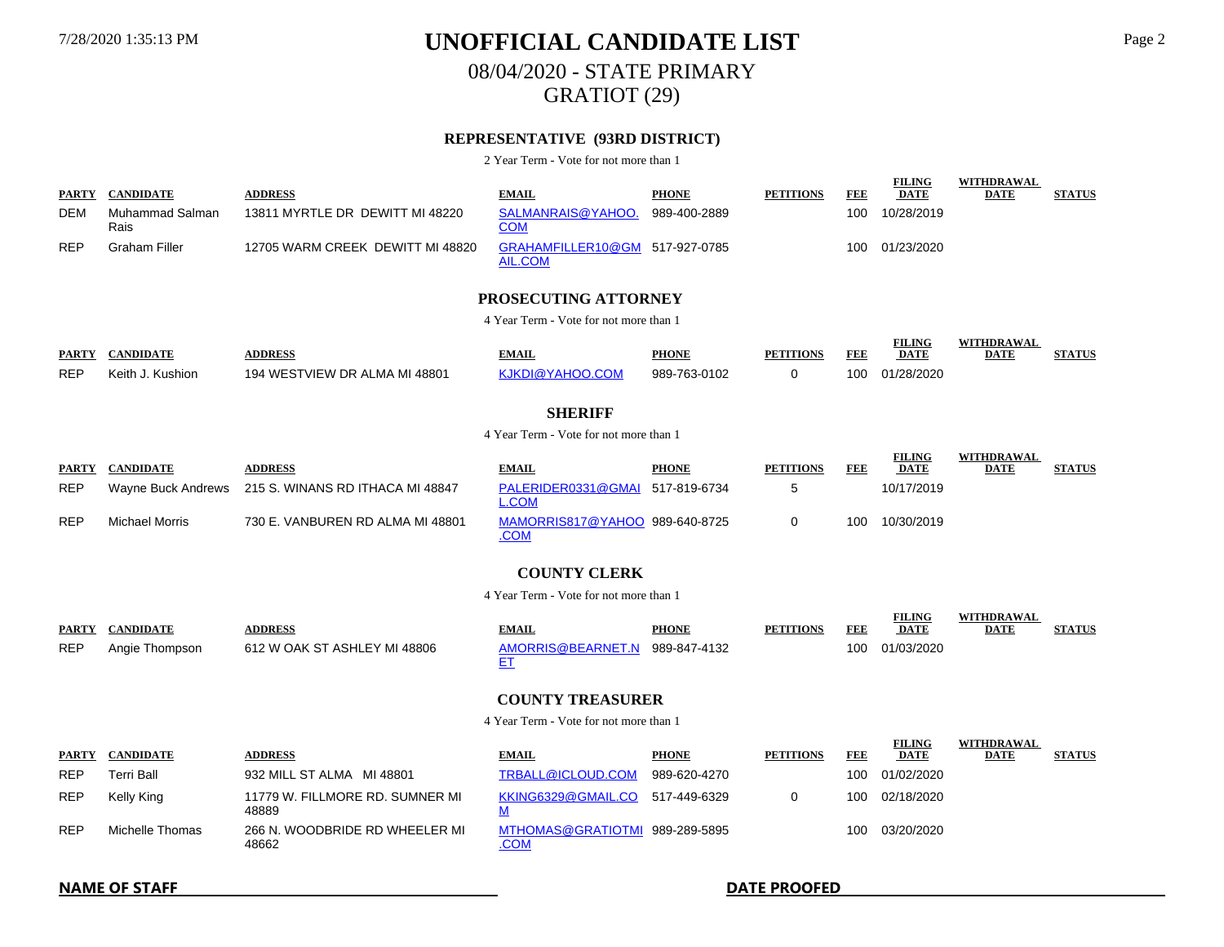08/04/2020 - STATE PRIMARY GRATIOT (29)

### **REPRESENTATIVE (93RD DISTRICT)**

2 Year Term - Vote for not more than 1

|            | PARTY CANDIDATE         | <b>ADDRESS</b>                   | <b>EMAIL</b>                              | <b>PHONE</b> | <b>PETITIONS</b> | FEE | <b>FILING</b><br><b>DATE</b> | WITHDRAWAL<br><b>DATE</b> | <b>STATUS</b> |
|------------|-------------------------|----------------------------------|-------------------------------------------|--------------|------------------|-----|------------------------------|---------------------------|---------------|
| <b>DEM</b> | Muhammad Salman<br>Rais | 13811 MYRTLE DR DEWITT MI 48220  | SALMANRAIS@YAHOO.<br>COM                  | 989-400-2889 |                  | 100 | 10/28/2019                   |                           |               |
| <b>REP</b> | Graham Filler           | 12705 WARM CREEK DEWITT MI 48820 | GRAHAMFILLER10@GM 517-927-0785<br>AIL.COM |              |                  | 100 | 01/23/2020                   |                           |               |

### **PROSECUTING ATTORNEY**

4 Year Term - Vote for not more than 1

| <b>PARTY</b> | <b>CANDIDATE</b> | <b>DDRESS</b>                 | <b>TMAIL</b>    | <b>PHONE</b> | <b>PETITIONS</b> | FEF | <b>FILING</b><br>DATE | <b>WITHDRAWAI</b><br>DATE | <b>STATUS</b> |
|--------------|------------------|-------------------------------|-----------------|--------------|------------------|-----|-----------------------|---------------------------|---------------|
| <b>REP</b>   | Keith J. Kushion | 194 WESTVIEW DR ALMA MI 48801 | KJKDI@YAHOO.COM | 989-763-0102 |                  |     | 100 01/28/2020        |                           |               |

### **SHERIFF**

4 Year Term - Vote for not more than 1

| <b>PARTY</b> | <b>CANDIDATE</b> | <b>ADDRESS</b>                                      | <b>EMAIL</b>                             | <b>PHONE</b> | <b>PETITIONS</b> | FEE | <b>FILING</b><br><b>DATE</b> | WITHDRAWAL<br><b>DATE</b> | <b>STATUS</b> |
|--------------|------------------|-----------------------------------------------------|------------------------------------------|--------------|------------------|-----|------------------------------|---------------------------|---------------|
| <b>REP</b>   |                  | Wayne Buck Andrews 215 S. WINANS RD ITHACA MI 48847 | PALERIDER0331@GMAI 517-819-6734<br>_.COM |              |                  |     | 10/17/2019                   |                           |               |
| <b>REP</b>   | Michael Morris   | 730 E. VANBUREN RD ALMA MI 48801                    | MAMORRIS817@YAHOO 989-640-8725<br>.COM   |              |                  | 100 | 10/30/2019                   |                           |               |

### **COUNTY CLERK**

4 Year Term - Vote for not more than 1

| PARTY      | <b>CANDIDATE</b> | <b>NDDRESS</b>               | <b>EMAIL</b>                   | <b>PHONE</b> | <b>PETITIONS</b> | <b>FEE</b> | <b>FILING</b><br><b>DATE</b> | WITHDRAWAL<br><b>DATE</b> | <b>STATUS</b> |
|------------|------------------|------------------------------|--------------------------------|--------------|------------------|------------|------------------------------|---------------------------|---------------|
| <b>REP</b> | Anaie Thompson   | 612 W OAK ST ASHLEY MI 48806 | AMORRIS@BEARNET.N 989-847-4132 |              |                  |            | 100 01/03/2020               |                           |               |

### **COUNTY TREASURER**

4 Year Term - Vote for not more than 1

| <b>PARTY</b> | <b>CANDIDATE</b> | <b>ADDRESS</b>                           | <b>EMAIL</b>                                  | <b>PHONE</b> | <b>PETITIONS</b> | FEE | FILING<br><b>DATE</b> | WIIHDKAWAL<br><b>DATE</b> | <b>STATUS</b> |
|--------------|------------------|------------------------------------------|-----------------------------------------------|--------------|------------------|-----|-----------------------|---------------------------|---------------|
| <b>REP</b>   | Terri Ball       | 932 MILL ST ALMA MI 48801                | TRBALL@ICLOUD.COM                             | 989-620-4270 |                  | 100 | 01/02/2020            |                           |               |
| <b>REP</b>   | Kelly King       | 11779 W. FILLMORE RD. SUMNER MI<br>48889 | KKING6329@GMAIL.CO                            | 517-449-6329 |                  | 100 | 02/18/2020            |                           |               |
| <b>REP</b>   | Michelle Thomas  | 266 N. WOODBRIDE RD WHEELER MI<br>48662  | MTHOMAS@GRATIOTMI 989-289-5895<br><u>.COM</u> |              |                  | 100 | 03/20/2020            |                           |               |

### **NAME OF STAFF DATE PROOFED**

**FILING** 

WITH**DRAWAL**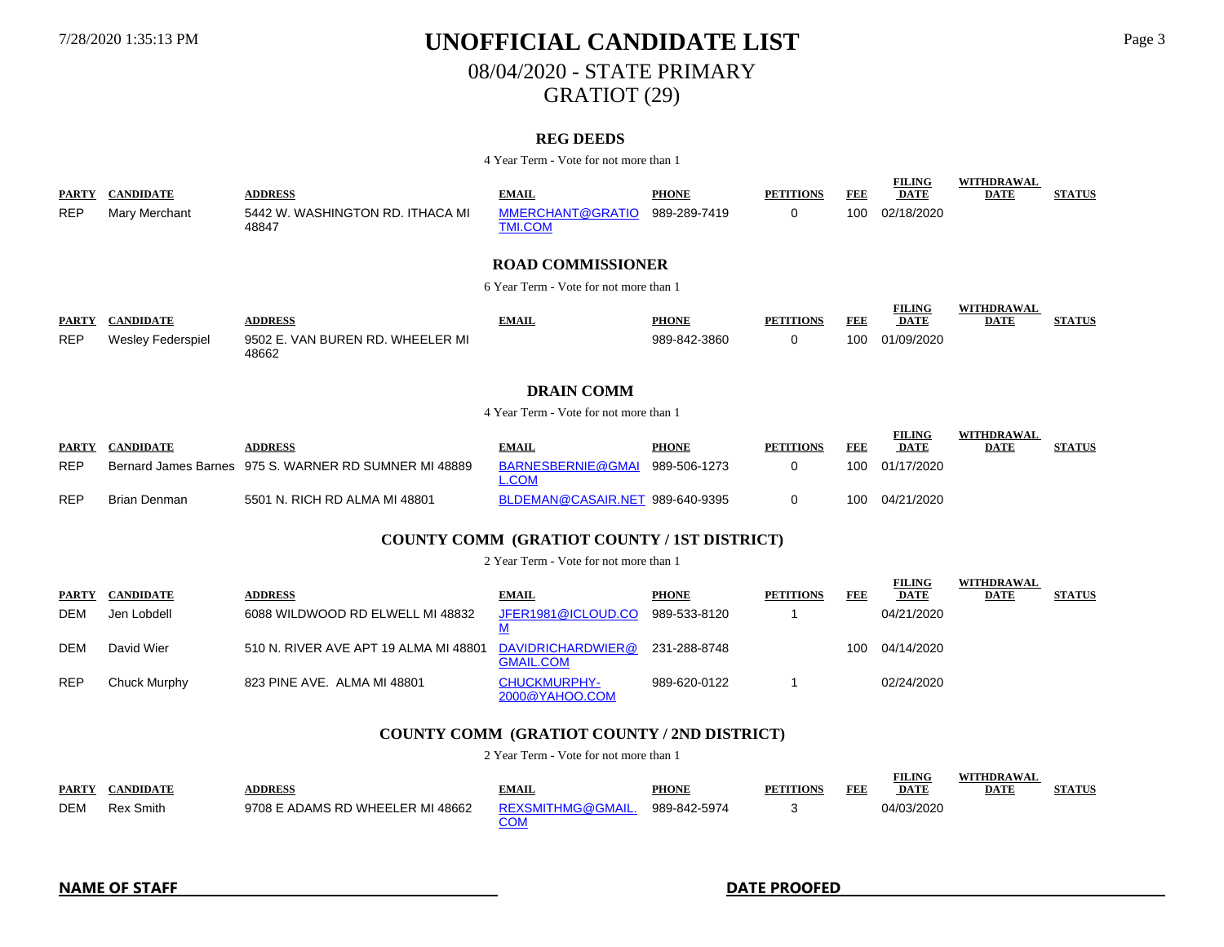# 7/28/2020 1:35:13 PM **UNOFFICIAL CANDIDATE LIST** Page 3 08/04/2020 - STATE PRIMARY GRATIOT (29)

### **REG DEEDS**

4 Year Term - Vote for not more than 1

| <b>PARTY</b>               | <b>CANDIDATE</b>                            | <b>ADDRESS</b>                                        | <b>EMAIL</b>                              | <b>PHONE</b>                 | <b>PETITIONS</b>      | FEE          | <u>.</u><br><b>DATE</b>                    | ----------<br><b>DATE</b>        | <b>STATUS</b>   |  |  |  |
|----------------------------|---------------------------------------------|-------------------------------------------------------|-------------------------------------------|------------------------------|-----------------------|--------------|--------------------------------------------|----------------------------------|-----------------|--|--|--|
| <b>REP</b>                 | Mary Merchant                               | 5442 W. WASHINGTON RD. ITHACA MI<br>48847             | <b>MMERCHANT@GRATIO</b><br><b>TMI.COM</b> | 989-289-7419                 | 0                     | 100          | 02/18/2020                                 |                                  |                 |  |  |  |
|                            |                                             |                                                       | <b>ROAD COMMISSIONER</b>                  |                              |                       |              |                                            |                                  |                 |  |  |  |
|                            |                                             |                                                       | 6 Year Term - Vote for not more than 1    |                              |                       |              |                                            |                                  |                 |  |  |  |
| <b>PARTY</b><br><b>REP</b> | <b>CANDIDATE</b><br>Wesley Federspiel       | <b>ADDRESS</b><br>9502 E. VAN BUREN RD. WHEELER MI    | <b>EMAIL</b>                              | <b>PHONE</b><br>989-842-3860 | <b>PETITIONS</b><br>0 | FEE<br>100   | <b>FILING</b><br><b>DATE</b><br>01/09/2020 | <b>WITHDRAWAL</b><br><b>DATE</b> | <b>STATUS</b>   |  |  |  |
|                            |                                             | 48662                                                 |                                           |                              |                       |              |                                            |                                  |                 |  |  |  |
|                            | <b>DRAIN COMM</b>                           |                                                       |                                           |                              |                       |              |                                            |                                  |                 |  |  |  |
|                            |                                             |                                                       | 4 Year Term - Vote for not more than 1    |                              |                       |              |                                            |                                  |                 |  |  |  |
| <b>PARTY</b>               | <b>CANDIDATE</b>                            | <b>ADDRESS</b>                                        | <b>EMAIL</b>                              | <b>PHONE</b>                 | <b>PETITIONS</b>      | FEE          | <b>FILING</b><br><b>DATE</b>               | <b>WITHDRAWAL</b><br><b>DATE</b> | <b>STATUS</b>   |  |  |  |
| <b>REP</b>                 |                                             | Bernard James Barnes 975 S. WARNER RD SUMNER MI 48889 | BARNESBERNIE@GMAI<br><b>L.COM</b>         | 989-506-1273                 | 0                     | 100          | 01/17/2020                                 |                                  |                 |  |  |  |
| <b>REP</b>                 | <b>Brian Denman</b>                         | 5501 N. RICH RD ALMA MI 48801                         | BLDEMAN@CASAIR.NET 989-640-9395           |                              | 0                     | 100          | 04/21/2020                                 |                                  |                 |  |  |  |
|                            | COUNTY COMM (GRATIOT COUNTY / 1ST DISTRICT) |                                                       |                                           |                              |                       |              |                                            |                                  |                 |  |  |  |
|                            |                                             |                                                       | 2 Year Term - Vote for not more than 1    |                              |                       |              |                                            |                                  |                 |  |  |  |
|                            | <b>DADTV CAMBIDATE</b>                      | <b>ADDDECC</b>                                        | <b>EXAMIT</b>                             | <b>DITANIE</b>               | <b>DETITIONIC</b>     | <b>INDIA</b> | <b>FILING</b><br><b>DATE</b>               | <b>WITHDRAWAL</b><br><b>DATE</b> | <b>CTA TILC</b> |  |  |  |

| <b>PARTY</b> | <b>CANDIDATE</b> | <b>ADDRESS</b>                        | <b>EMAIL</b>                          | <b>PHONE</b> | <b>PETITIONS</b> | <b>FEE</b> | <b>FILING</b><br><b>DATE</b> | WITHDRAWAL<br><b>DATE</b> | <b>STATUS</b> |
|--------------|------------------|---------------------------------------|---------------------------------------|--------------|------------------|------------|------------------------------|---------------------------|---------------|
| DEM          | Jen Lobdell      | 6088 WILDWOOD RD ELWELL MI 48832      | JFER1981@ICLOUD.CO                    | 989-533-8120 |                  |            | 04/21/2020                   |                           |               |
| DEM          | David Wier       | 510 N. RIVER AVE APT 19 ALMA MI 48801 | DAVIDRICHARDWIER@<br><b>GMAIL.COM</b> | 231-288-8748 |                  | 100        | 04/14/2020                   |                           |               |
| <b>REP</b>   | Chuck Murphy     | 823 PINE AVE. ALMA MI 48801           | <b>CHUCKMURPHY-</b><br>2000@YAHOO.COM | 989-620-0122 |                  |            | 02/24/2020                   |                           |               |

### **COUNTY COMM (GRATIOT COUNTY / 2ND DISTRICT)** 2 Year Term - Vote for not more than 1

| <b>PARTY</b> | <b>CANDIDATE</b> | <b>ADDRESS</b>                   | <b>EMAIL</b>      | <b>PHONE</b> | <b>PETITIONS</b> | FEE | <b>FILING</b><br><b>DATE</b> | <b>WITHDRAWAL</b><br><b>DATE</b> | <b>STATUS</b> |
|--------------|------------------|----------------------------------|-------------------|--------------|------------------|-----|------------------------------|----------------------------------|---------------|
| <b>DEM</b>   | <b>Rex Smith</b> | 9708 E ADAMS RD WHEELER MI 48662 | REXSMITHMG@GMAIL. | 989-842-5974 |                  |     | 04/03/2020                   |                                  |               |

**FILING**

**WITHDRAWAL**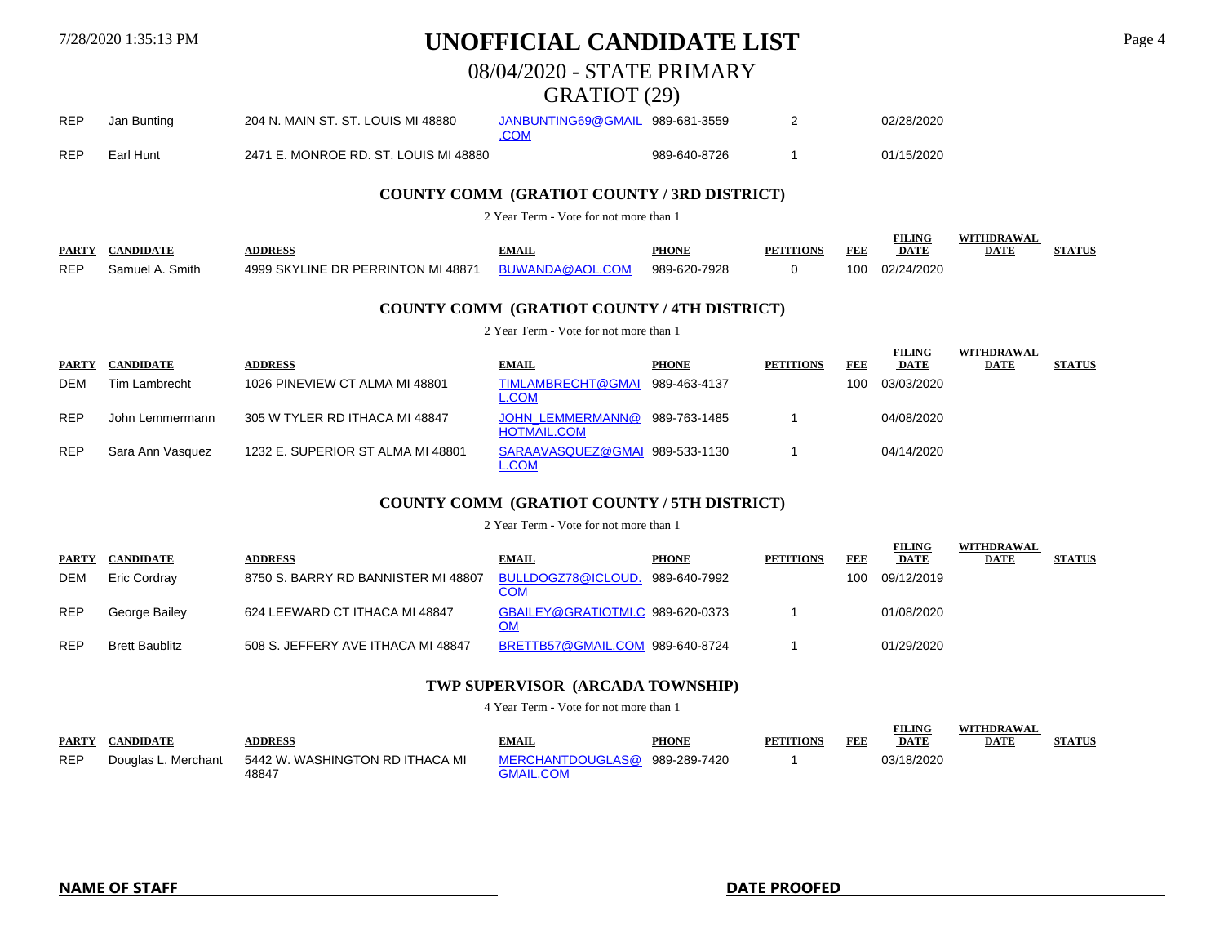### 08/04/2020 - STATE PRIMARY

### GRATIOT (29)

| <b>REP</b> | Jan Bunting | 204 N. MAIN ST. ST. LOUIS MI 48880    | JANBUNTING69@GMAIL 989-681-3559 |              | 02/28/2020 |
|------------|-------------|---------------------------------------|---------------------------------|--------------|------------|
| <b>REP</b> | Earl Hunt   | 2471 E. MONROE RD. ST. LOUIS MI 48880 |                                 | 989-640-8726 | 01/15/2020 |

### **COUNTY COMM (GRATIOT COUNTY / 3RD DISTRICT)**

2 Year Term - Vote for not more than 1

| <b>PARTY</b> | <b>CANDIDATI</b> | <b>DDRESS</b>                      |                    | PHONI        | PETITIONS | ĐĐ) | <b>FILING</b><br>DATL | DATE |  |
|--------------|------------------|------------------------------------|--------------------|--------------|-----------|-----|-----------------------|------|--|
| <b>REP</b>   | Smith            | 4999 SKYLINE DR PERRINTON MI 48871 | COM<br>RHMANDA@AOL | 989-620-7928 |           | 100 | 02/24/2020            |      |  |

### **COUNTY COMM (GRATIOT COUNTY / 4TH DISTRICT)**

2 Year Term - Vote for not more than 1

| <b>PARTY</b> | <b>CANDIDATE</b> | <b>ADDRESS</b>                    | <b>EMAIL</b>                                   | <b>PHONE</b> | <b>PETITIONS</b> | FEE | <b>FILING</b><br><b>DATE</b> | WITHDRAWAL<br><b>DATE</b> | <b>STATUS</b> |
|--------------|------------------|-----------------------------------|------------------------------------------------|--------------|------------------|-----|------------------------------|---------------------------|---------------|
| DEM          | Tim Lambrecht    | 1026 PINEVIEW CT ALMA MI 48801    | TIMLAMBRECHT@GMAI<br>L.COM                     | 989-463-4137 |                  | 100 | 03/03/2020                   |                           |               |
| <b>REP</b>   | John Lemmermann  | 305 W TYLER RD ITHACA MI 48847    | <b>JOHN LEMMERMANN@</b><br><b>HOTMAIL.COM</b>  | 989-763-1485 |                  |     | 04/08/2020                   |                           |               |
| <b>REP</b>   | Sara Ann Vasquez | 1232 E. SUPERIOR ST ALMA MI 48801 | SARAAVASQUEZ@GMAI 989-533-1130<br><b>L.COM</b> |              |                  |     | 04/14/2020                   |                           |               |

### **COUNTY COMM (GRATIOT COUNTY / 5TH DISTRICT)**

2 Year Term - Vote for not more than 1

| <b>PARTY</b> | <b>CANDIDATE</b>      | <b>ADDRESS</b>                      | <b>EMAIL</b>                           | <b>PHONE</b> | <b>PETITIONS</b> | FEB | <b>FILING</b><br><b>DATE</b> | WITHDRAWAL<br><b>DATE</b> | <b>STATUS</b> |
|--------------|-----------------------|-------------------------------------|----------------------------------------|--------------|------------------|-----|------------------------------|---------------------------|---------------|
| <b>DEM</b>   | Eric Cordrav          | 8750 S. BARRY RD BANNISTER MI 48807 | BULLDOGZ78@ICLOUD.<br><b>COM</b>       | 989-640-7992 |                  | 100 | 09/12/2019                   |                           |               |
| <b>REP</b>   | George Bailey         | 624 LEEWARD CT ITHACA MI 48847      | GBAILEY@GRATIOTMI.C 989-620-0373<br>OM |              |                  |     | 01/08/2020                   |                           |               |
| <b>REP</b>   | <b>Brett Baublitz</b> | 508 S. JEFFERY AVE ITHACA MI 48847  | BRETTB57@GMAIL.COM 989-640-8724        |              |                  |     | 01/29/2020                   |                           |               |

### **TWP SUPERVISOR (ARCADA TOWNSHIP)**

4 Year Term - Vote for not more than 1

| <b>PARTY</b> | <b>CANDIDATE</b> | <b>ADDRESS</b>                                               | <b>EMAIL</b>                                      | <b>PHONE</b> | <b>PETITIONS</b> | <b>FEE</b> | <b>FILING</b><br><b>DATE</b> | <b>WITHDRAWAL</b><br><u>DATE</u> | <b>STATUS</b> |
|--------------|------------------|--------------------------------------------------------------|---------------------------------------------------|--------------|------------------|------------|------------------------------|----------------------------------|---------------|
| <b>REP</b>   |                  | Douglas L. Merchant 5442 W. WASHINGTON RD ITHACA MI<br>48847 | MERCHANTDOUGLAS@ 989-289-7420<br><b>GMAIL.COM</b> |              |                  |            | 03/18/2020                   |                                  |               |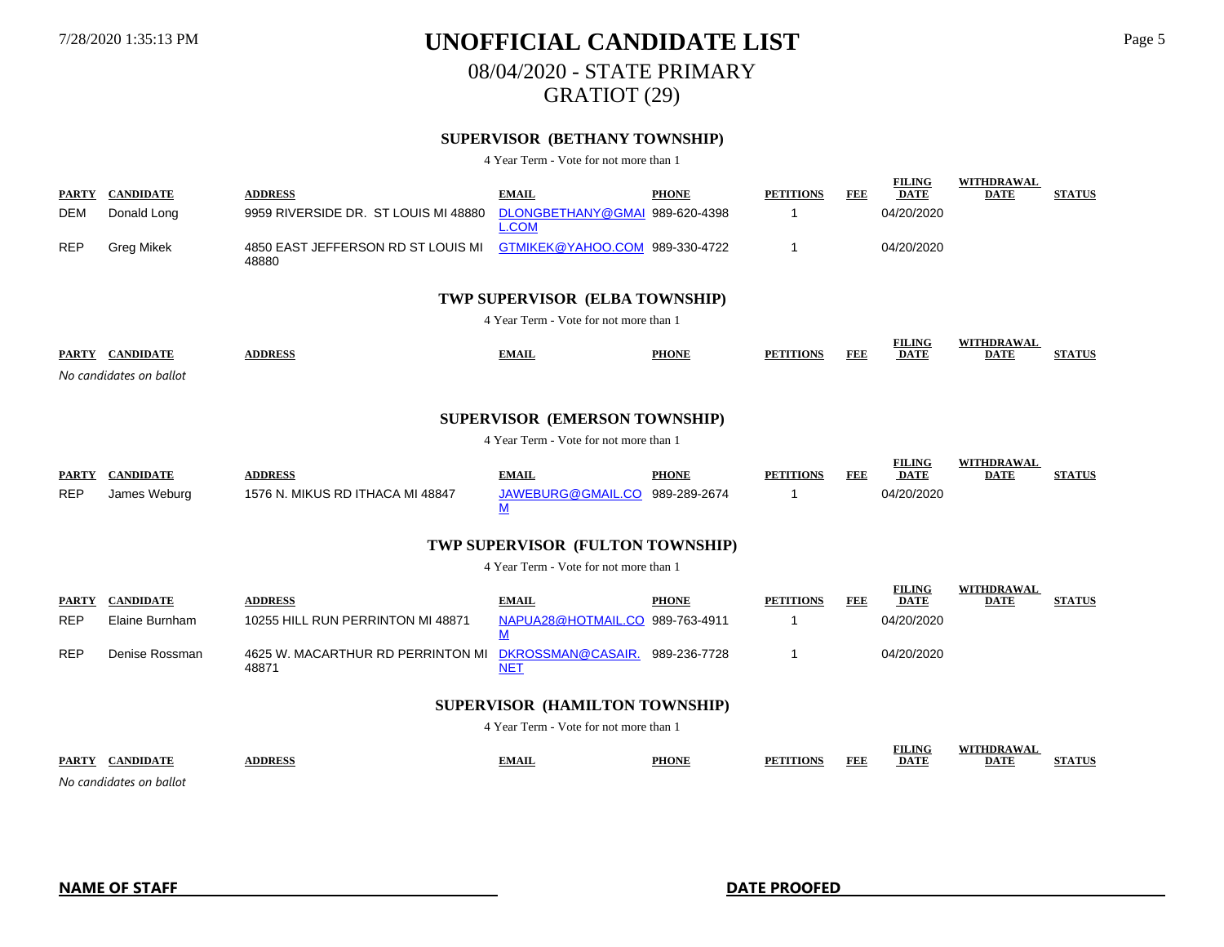# 7/28/2020 1:35:13 PM **UNOFFICIAL CANDIDATE LIST** Page 5 08/04/2020 - STATE PRIMARY

GRATIOT (29)

### **SUPERVISOR (BETHANY TOWNSHIP)**

4 Year Term - Vote for not more than 1

| <b>PARTY</b> | <b>CANDIDATE</b>  | <b>ADDRESS</b>                                                             | <b>EMAIL</b> | <b>PHONE</b> | <b>PETITIONS</b> | FEE | <b>FILING</b><br><b>DATE</b> | WITHDRAWAL<br><b>DATE</b> | <b>STATUS</b> |
|--------------|-------------------|----------------------------------------------------------------------------|--------------|--------------|------------------|-----|------------------------------|---------------------------|---------------|
| <b>DEM</b>   | Donald Long       | 9959 RIVERSIDE DR. ST LOUIS MI 48880 DLONGBETHANY@GMAI 989-620-4398        | L.COM        |              |                  |     | 04/20/2020                   |                           |               |
| <b>REP</b>   | <b>Grea Mikek</b> | 4850 EAST JEFFERSON RD ST LOUIS MI GTMIKEK@YAHOO.COM 989-330-4722<br>48880 |              |              |                  |     | 04/20/2020                   |                           |               |

#### **TWP SUPERVISOR (ELBA TOWNSHIP)**

4 Year Term - Vote for not more than 1

| <b>PARTY</b><br><b>CANDIDATE</b> | <b>\DDRESS</b> | <b>TMAIL</b> | <b>PHONE</b> | <b>PETITIONS</b> | TEI | <b>FILING</b><br><b>DATE</b> | <b>WITHDRAWAL</b><br>DATE | <b>THA FINITE</b> |
|----------------------------------|----------------|--------------|--------------|------------------|-----|------------------------------|---------------------------|-------------------|
| No candidates on ballot          |                |              |              |                  |     |                              |                           |                   |

### **SUPERVISOR (EMERSON TOWNSHIP)**

4 Year Term - Vote for not more than 1

| <b>PARTY</b> | <b>CANDIDATE</b> | <b>ADDRESS</b>                   | <b>EMAIL</b>      | <b>PHONE</b> | <b>PETITIONS</b> | FEE | <b>FILING</b><br><b>DATE</b> | WITHDRAWAL<br><b>DATE</b> | <b>STATUS</b> |
|--------------|------------------|----------------------------------|-------------------|--------------|------------------|-----|------------------------------|---------------------------|---------------|
| <b>REP</b>   | James Weburg     | 1576 N. MIKUS RD ITHACA MI 48847 | JAWEBURG@GMAIL.CO | 989-289-2674 |                  |     | 04/20/2020                   |                           |               |

### **TWP SUPERVISOR (FULTON TOWNSHIP)**

4 Year Term - Vote for not more than 1

| <b>PARTY</b> | <b>CANDIDATE</b> | <b>ADDRESS</b>                                               | <b>EMAIL</b>                    | <b>PHONE</b> | <b>PETITIONS</b> | FEE | <b>FILING</b><br><b>DATE</b> | WITHDRAWAL<br>DATE | <b>STATUS</b> |
|--------------|------------------|--------------------------------------------------------------|---------------------------------|--------------|------------------|-----|------------------------------|--------------------|---------------|
| <b>REP</b>   | Elaine Burnham   | 10255 HILL RUN PERRINTON MI 48871                            | NAPUA28@HOTMAIL.CO 989-763-4911 |              |                  |     | 04/20/2020                   |                    |               |
| <b>REP</b>   | Denise Rossman   | 4625 W. MACARTHUR RD PERRINTON MI DKROSSMAN@CASAIR.<br>48871 | ١E.                             | 989-236-7728 |                  |     | 04/20/2020                   |                    |               |

### **SUPERVISOR (HAMILTON TOWNSHIP)**

4 Year Term - Vote for not more than 1

|              |               |     |              |    | EIT INA<br>.                                                  |                                                                        |  |
|--------------|---------------|-----|--------------|----|---------------------------------------------------------------|------------------------------------------------------------------------|--|
| <b>PARTY</b> | <b>DDRESS</b> | тап | <b>PHONE</b> | 'ы | -DAT)<br><u> 1980 - Johann Stoff, Amerikaansk politiker (</u> | DAIR<br><u> 1980 - Andrea Stadt Britain, amerikansk fotballstvands</u> |  |
|              |               |     |              |    |                                                               |                                                                        |  |

*No candidates on ballot*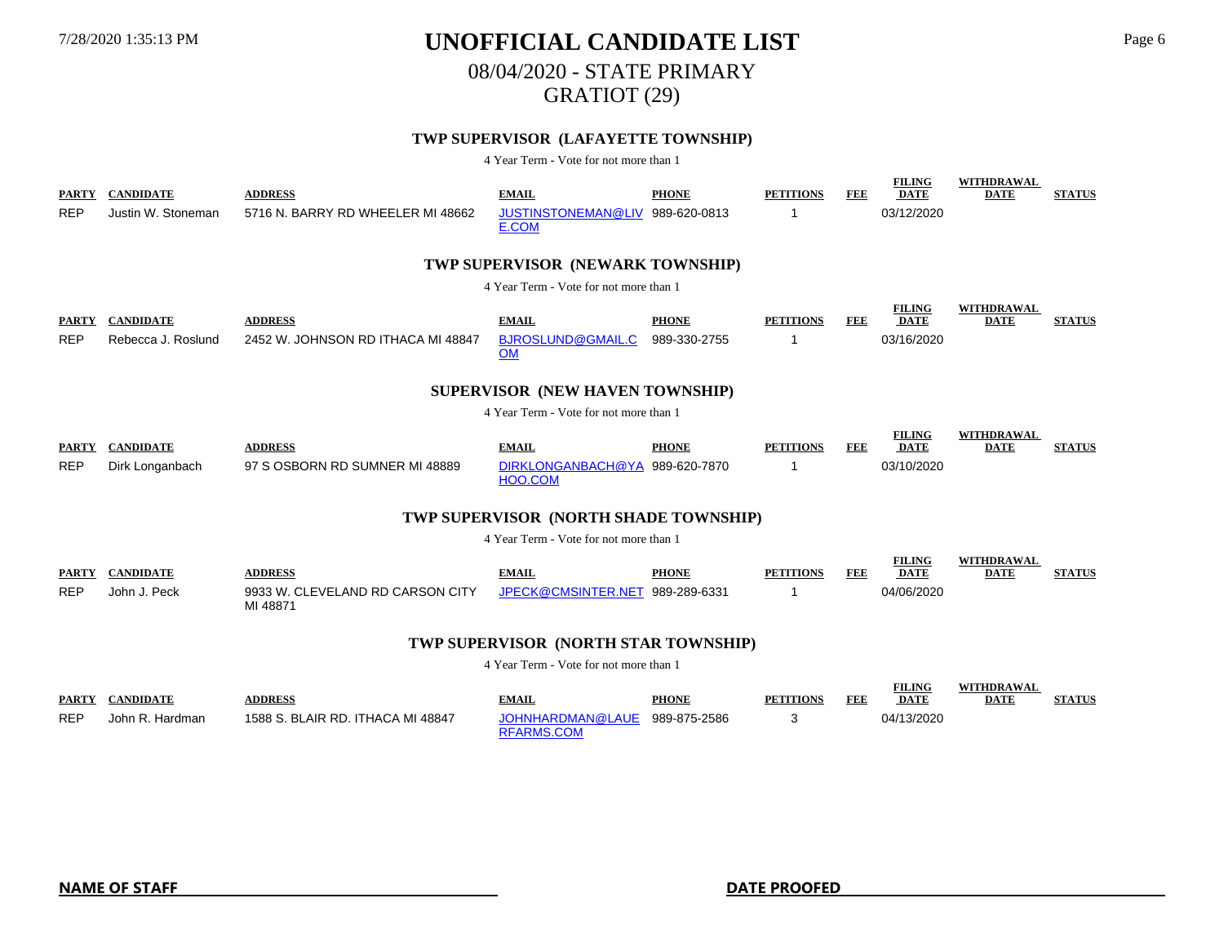### 7/28/2020 1:35:13 PM **UNOFFICIAL CANDIDATE LIST** Page 6 08/04/2020 - STATE PRIMARY

GRATIOT (29)

### **TWP SUPERVISOR (LAFAYETTE TOWNSHIP)**

4 Year Term - Vote for not more than 1

| TWP SUPERVISOR (NEWARK TOWNSHIP)<br>4 Year Term - Vote for not more than 1<br><b>FILING</b><br><b>WITHDRAWAL</b><br><b>ADDRESS</b><br><b>PHONE</b><br><b>PETITIONS</b><br><b>FEE</b><br><b>DATE</b><br><b>CANDIDATE</b><br><b>EMAIL</b><br><b>PARTY</b><br><b>DATE</b><br><b>REP</b><br>Rebecca J. Roslund<br>2452 W. JOHNSON RD ITHACA MI 48847<br>BJROSLUND@GMAIL.C<br>989-330-2755<br>03/16/2020<br>-1<br><b>OM</b><br>SUPERVISOR (NEW HAVEN TOWNSHIP)<br>4 Year Term - Vote for not more than 1<br><b>FILING</b><br><b>WITHDRAWAL</b><br><b>DATE</b><br><b>CANDIDATE</b><br><b>ADDRESS</b><br><b>EMAIL</b><br><b>PHONE</b><br><b>PETITIONS</b><br><b>DATE</b><br><b>PARTY</b><br>FEE<br>97 S OSBORN RD SUMNER MI 48889<br>DIRKLONGANBACH@YA 989-620-7870<br><b>REP</b><br>03/10/2020<br>Dirk Longanbach<br>-1<br>HOO.COM<br>TWP SUPERVISOR (NORTH SHADE TOWNSHIP)<br>4 Year Term - Vote for not more than 1<br><b>FILING</b><br><b>WITHDRAWAL</b><br><b>CANDIDATE</b><br><b>PHONE</b><br><b>PETITIONS</b><br><b>DATE</b><br><b>ADDRESS</b><br><b>EMAIL</b><br><b>FEE</b><br><b>PARTY</b><br><b>DATE</b><br><b>REP</b><br>John J. Peck<br>9933 W. CLEVELAND RD CARSON CITY<br>JPECK@CMSINTER.NET 989-289-6331<br>04/06/2020<br>MI 48871 | <b>PARTY</b><br><b>REP</b> | <b>CANDIDATE</b><br>Justin W. Stoneman | <b>ADDRESS</b><br>5716 N. BARRY RD WHEELER MI 48662 | <b>EMAIL</b><br>JUSTINSTONEMAN@LIV 989-620-0813<br>E.COM | <b>PHONE</b> | <b>PETITIONS</b><br>-1 | <b>FEE</b> | <b>FILING</b><br><b>DATE</b><br>03/12/2020 | <b>WITHDRAWAL</b><br><b>DATE</b> | <b>STATUS</b> |  |  |
|--------------------------------------------------------------------------------------------------------------------------------------------------------------------------------------------------------------------------------------------------------------------------------------------------------------------------------------------------------------------------------------------------------------------------------------------------------------------------------------------------------------------------------------------------------------------------------------------------------------------------------------------------------------------------------------------------------------------------------------------------------------------------------------------------------------------------------------------------------------------------------------------------------------------------------------------------------------------------------------------------------------------------------------------------------------------------------------------------------------------------------------------------------------------------------------------------------------------------------------------|----------------------------|----------------------------------------|-----------------------------------------------------|----------------------------------------------------------|--------------|------------------------|------------|--------------------------------------------|----------------------------------|---------------|--|--|
|                                                                                                                                                                                                                                                                                                                                                                                                                                                                                                                                                                                                                                                                                                                                                                                                                                                                                                                                                                                                                                                                                                                                                                                                                                            |                            |                                        |                                                     |                                                          |              |                        |            |                                            |                                  | <b>STATUS</b> |  |  |
|                                                                                                                                                                                                                                                                                                                                                                                                                                                                                                                                                                                                                                                                                                                                                                                                                                                                                                                                                                                                                                                                                                                                                                                                                                            |                            |                                        |                                                     |                                                          |              |                        |            |                                            |                                  |               |  |  |
|                                                                                                                                                                                                                                                                                                                                                                                                                                                                                                                                                                                                                                                                                                                                                                                                                                                                                                                                                                                                                                                                                                                                                                                                                                            |                            |                                        |                                                     |                                                          |              |                        |            |                                            |                                  | <b>STATUS</b> |  |  |
|                                                                                                                                                                                                                                                                                                                                                                                                                                                                                                                                                                                                                                                                                                                                                                                                                                                                                                                                                                                                                                                                                                                                                                                                                                            |                            |                                        |                                                     |                                                          |              |                        |            |                                            |                                  |               |  |  |
| TIVE CURRICO ALOBTH CLA D TOWNSHIP                                                                                                                                                                                                                                                                                                                                                                                                                                                                                                                                                                                                                                                                                                                                                                                                                                                                                                                                                                                                                                                                                                                                                                                                         |                            |                                        |                                                     |                                                          |              |                        |            |                                            |                                  | <b>STATUS</b> |  |  |

#### **TWP SUPERVISOR (NORTH STAR TOWNSHIP)**

| <b>PARTY</b> | CANDIDATE       | <b>ADDRESS</b>                    | <b>EMAIL</b>                          | PHONE        | <b>PETITIONS</b> | FEE | <b>FILING</b><br><b>DATE</b> | WITHDRAWAL<br><b>DATE</b> | <b>STATUS</b> |
|--------------|-----------------|-----------------------------------|---------------------------------------|--------------|------------------|-----|------------------------------|---------------------------|---------------|
| <b>REP</b>   | John R. Hardman | 1588 S. BLAIR RD. ITHACA MI 48847 | JOHNHARDMAN@LAUE<br><b>RFARMS.COM</b> | 989-875-2586 |                  |     | 04/13/2020                   |                           |               |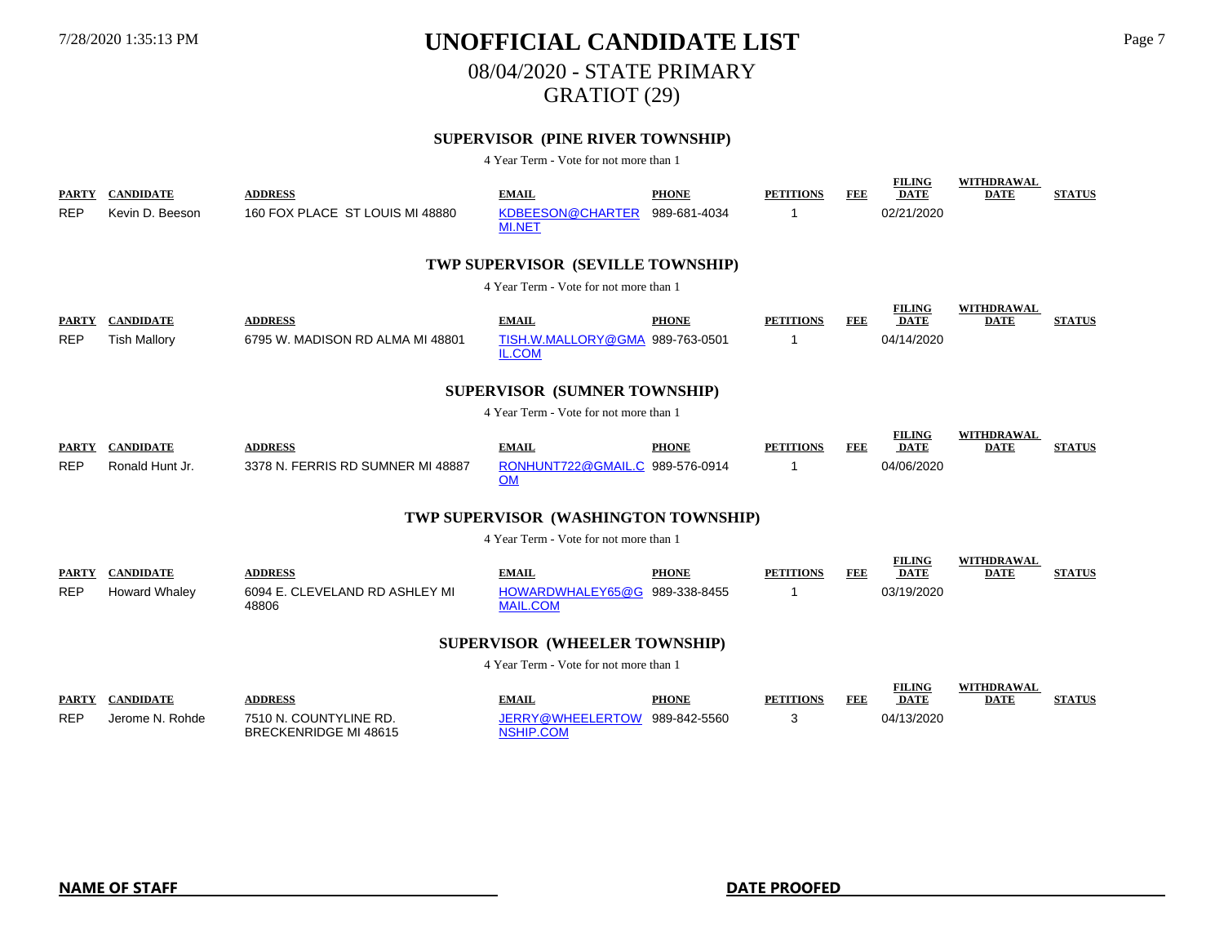### 7/28/2020 1:35:13 PM **UNOFFICIAL CANDIDATE LIST** Page 7 08/04/2020 - STATE PRIMARY

# GRATIOT (29)

### **SUPERVISOR (PINE RIVER TOWNSHIP)**

4 Year Term - Vote for not more than 1

| <b>PARTY</b><br><b>REP</b> | <b>CANDIDATE</b><br>Kevin D. Beeson      | <b>ADDRESS</b><br>160 FOX PLACE ST LOUIS MI 48880         | <b>EMAIL</b><br>KDBEESON@CHARTER<br><b>MI.NET</b>                | <b>PHONE</b><br>989-681-4034 | <b>PETITIONS</b><br>-1 | <b>FEE</b> | <b>FILING</b><br><b>DATE</b><br>02/21/2020 | WITHDRAWAL<br><b>DATE</b>        | <b>STATUS</b> |
|----------------------------|------------------------------------------|-----------------------------------------------------------|------------------------------------------------------------------|------------------------------|------------------------|------------|--------------------------------------------|----------------------------------|---------------|
|                            |                                          |                                                           | <b>TWP SUPERVISOR (SEVILLE TOWNSHIP)</b>                         |                              |                        |            |                                            |                                  |               |
|                            |                                          |                                                           | 4 Year Term - Vote for not more than 1                           |                              |                        |            |                                            |                                  |               |
| <b>PARTY</b><br><b>REP</b> | <b>CANDIDATE</b><br><b>Tish Mallory</b>  | <b>ADDRESS</b><br>6795 W. MADISON RD ALMA MI 48801        | <b>EMAIL</b><br>TISH.W.MALLORY@GMA 989-763-0501<br>IL.COM        | <b>PHONE</b>                 | <b>PETITIONS</b><br>-1 | FEE        | <b>FILING</b><br><b>DATE</b><br>04/14/2020 | <b>WITHDRAWAL</b><br><b>DATE</b> | <b>STATUS</b> |
|                            |                                          |                                                           | <b>SUPERVISOR (SUMNER TOWNSHIP)</b>                              |                              |                        |            |                                            |                                  |               |
|                            |                                          |                                                           | 4 Year Term - Vote for not more than 1                           |                              |                        |            |                                            |                                  |               |
| <b>PARTY</b><br><b>REP</b> | <b>CANDIDATE</b><br>Ronald Hunt Jr.      | <b>ADDRESS</b><br>3378 N. FERRIS RD SUMNER MI 48887       | <b>EMAIL</b><br>RONHUNT722@GMAIL.C 989-576-0914<br><b>OM</b>     | <b>PHONE</b>                 | <b>PETITIONS</b><br>-1 | FEE        | <b>FILING</b><br><b>DATE</b><br>04/06/2020 | <b>WITHDRAWAL</b><br><b>DATE</b> | <b>STATUS</b> |
|                            |                                          |                                                           | TWP SUPERVISOR (WASHINGTON TOWNSHIP)                             |                              |                        |            |                                            |                                  |               |
|                            |                                          |                                                           | 4 Year Term - Vote for not more than 1                           |                              |                        |            |                                            |                                  |               |
| <b>PARTY</b><br><b>REP</b> | <b>CANDIDATE</b><br><b>Howard Whaley</b> | <b>ADDRESS</b><br>6094 E. CLEVELAND RD ASHLEY MI<br>48806 | <b>EMAIL</b><br>HOWARDWHALEY65@G 989-338-8455<br><b>MAIL.COM</b> | <b>PHONE</b>                 | <b>PETITIONS</b><br>-1 | FEE        | <b>FILING</b><br><b>DATE</b><br>03/19/2020 | <b>WITHDRAWAL</b><br><b>DATE</b> | <b>STATUS</b> |
|                            |                                          |                                                           | <b>SUPERVISOR (WHEELER TOWNSHIP)</b>                             |                              |                        |            |                                            |                                  |               |
|                            |                                          |                                                           | 4 Year Term - Vote for not more than 1                           |                              |                        |            |                                            |                                  |               |
| <b>PARTY</b><br><b>REP</b> | <b>CANDIDATE</b><br>Jerome N. Rohde      | <b>ADDRESS</b><br>7510 N. COUNTYLINE RD.                  | <b>EMAIL</b><br>JERRY@WHEELERTOW 989-842-5560                    | <b>PHONE</b>                 | <b>PETITIONS</b><br>3  | FEE        | <b>FILING</b><br><b>DATE</b><br>04/13/2020 | WITHDRAWAL<br><b>DATE</b>        | <b>STATUS</b> |

NSHIP.COM

BRECKENRIDGE MI 48615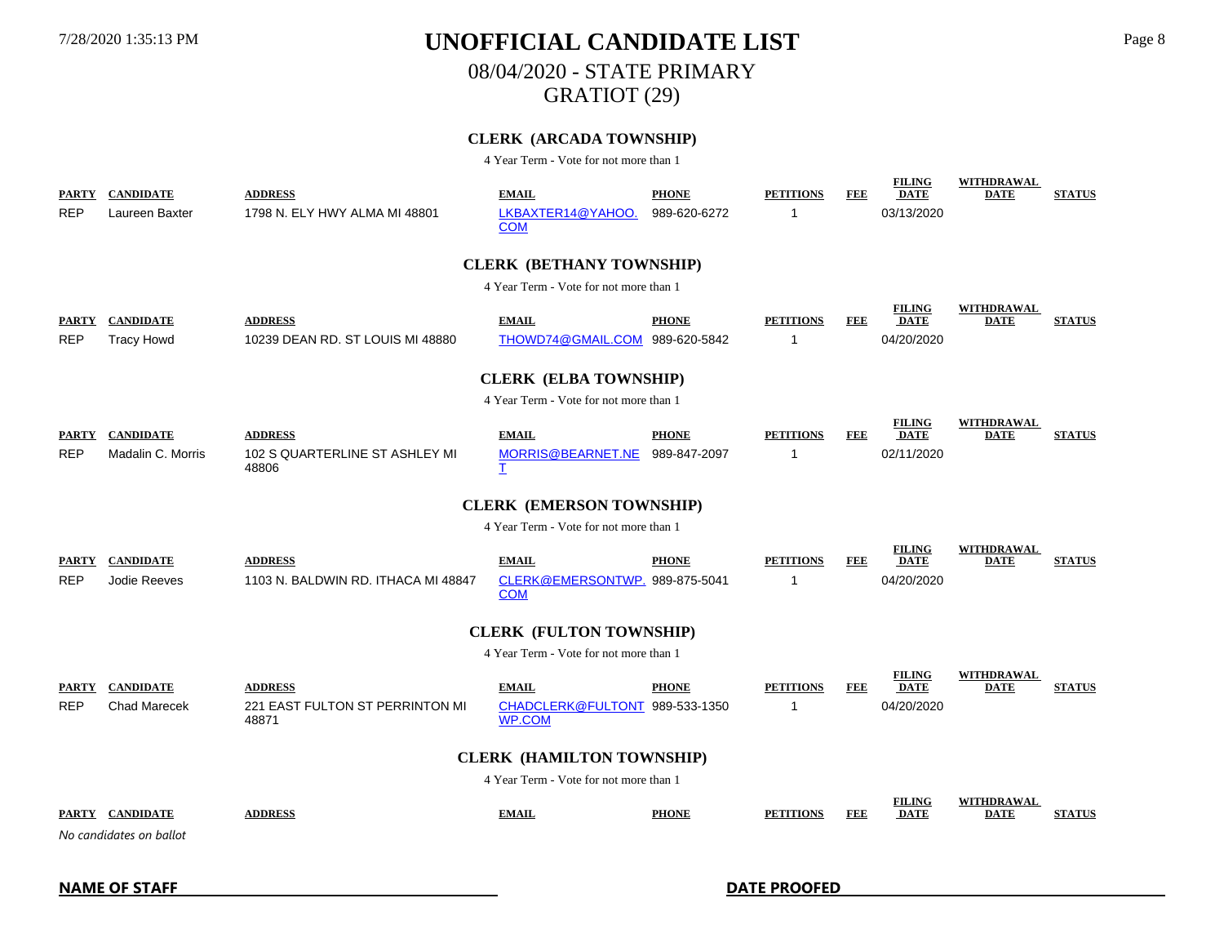# 7/28/2020 1:35:13 PM **UNOFFICIAL CANDIDATE LIST** Page 8 08/04/2020 - STATE PRIMARY

GRATIOT (29)

### **CLERK (ARCADA TOWNSHIP)**

4 Year Term - Vote for not more than 1

| <b>REP</b>                 | <b>PARTY CANDIDATE</b><br>Laureen Baxter   | <b>ADDRESS</b><br>1798 N. ELY HWY ALMA MI 48801            | <b>EMAIL</b><br>LKBAXTER14@YAHOO.<br><b>COM</b>                 | <b>PHONE</b><br>989-620-6272 | <b>PETITIONS</b><br>1 | FEE        | <b>FILING</b><br><b>DATE</b><br>03/13/2020 | <b>WITHDRAWAL</b><br><b>DATE</b> | <b>STATUS</b> |  |
|----------------------------|--------------------------------------------|------------------------------------------------------------|-----------------------------------------------------------------|------------------------------|-----------------------|------------|--------------------------------------------|----------------------------------|---------------|--|
|                            |                                            |                                                            | <b>CLERK (BETHANY TOWNSHIP)</b>                                 |                              |                       |            |                                            |                                  |               |  |
|                            |                                            |                                                            | 4 Year Term - Vote for not more than 1                          |                              |                       |            |                                            |                                  |               |  |
| <b>PARTY</b><br><b>REP</b> | <b>CANDIDATE</b><br><b>Tracy Howd</b>      | <b>ADDRESS</b><br>10239 DEAN RD. ST LOUIS MI 48880         | <b>EMAIL</b><br>THOWD74@GMAIL.COM 989-620-5842                  | <b>PHONE</b>                 | <b>PETITIONS</b><br>1 | FEE        | <b>FILING</b><br><b>DATE</b><br>04/20/2020 | <b>WITHDRAWAL</b><br><b>DATE</b> | <b>STATUS</b> |  |
|                            |                                            |                                                            | <b>CLERK (ELBA TOWNSHIP)</b>                                    |                              |                       |            |                                            |                                  |               |  |
|                            |                                            |                                                            | 4 Year Term - Vote for not more than 1                          |                              |                       |            |                                            |                                  |               |  |
| <b>PARTY</b><br><b>REP</b> | <b>CANDIDATE</b><br>Madalin C. Morris      | <b>ADDRESS</b><br>102 S QUARTERLINE ST ASHLEY MI<br>48806  | <b>EMAIL</b><br>MORRIS@BEARNET.NE<br>I                          | <b>PHONE</b><br>989-847-2097 | <b>PETITIONS</b><br>1 | <b>FEE</b> | <b>FILING</b><br><b>DATE</b><br>02/11/2020 | <b>WITHDRAWAL</b><br><b>DATE</b> | <b>STATUS</b> |  |
|                            |                                            |                                                            | <b>CLERK (EMERSON TOWNSHIP)</b>                                 |                              |                       |            |                                            |                                  |               |  |
|                            |                                            |                                                            | 4 Year Term - Vote for not more than 1                          |                              |                       |            |                                            |                                  |               |  |
| <b>PARTY</b><br><b>REP</b> | <b>CANDIDATE</b><br>Jodie Reeves           | <b>ADDRESS</b><br>1103 N. BALDWIN RD. ITHACA MI 48847      | <b>EMAIL</b><br>CLERK@EMERSONTWP. 989-875-5041<br><b>COM</b>    | <b>PHONE</b>                 | <b>PETITIONS</b><br>1 | FEE        | <b>FILING</b><br><b>DATE</b><br>04/20/2020 | WITHDRAWAL<br><b>DATE</b>        | <b>STATUS</b> |  |
|                            |                                            |                                                            | <b>CLERK (FULTON TOWNSHIP)</b>                                  |                              |                       |            |                                            |                                  |               |  |
|                            |                                            |                                                            | 4 Year Term - Vote for not more than 1                          |                              |                       |            |                                            |                                  |               |  |
| <b>REP</b>                 | PARTY CANDIDATE<br><b>Chad Marecek</b>     | <b>ADDRESS</b><br>221 EAST FULTON ST PERRINTON MI<br>48871 | <b>EMAIL</b><br>CHADCLERK@FULTONT 989-533-1350<br><b>WP.COM</b> | <b>PHONE</b>                 | <b>PETITIONS</b><br>1 | FEE        | <b>FILING</b><br><b>DATE</b><br>04/20/2020 | <b>WITHDRAWAL</b><br><b>DATE</b> | <b>STATUS</b> |  |
|                            | <b>CLERK (HAMILTON TOWNSHIP)</b>           |                                                            |                                                                 |                              |                       |            |                                            |                                  |               |  |
|                            |                                            |                                                            | 4 Year Term - Vote for not more than 1                          |                              |                       |            |                                            |                                  |               |  |
|                            | PARTY CANDIDATE<br>No candidates on ballot | <b>ADDRESS</b>                                             | <b>EMAIL</b>                                                    | <b>PHONE</b>                 | <b>PETITIONS</b>      | <b>FEE</b> | <b>FILING</b><br><b>DATE</b>               | <b>WITHDRAWAL</b><br><b>DATE</b> | <b>STATUS</b> |  |

**NAME OF STAFF DATE PROOFED**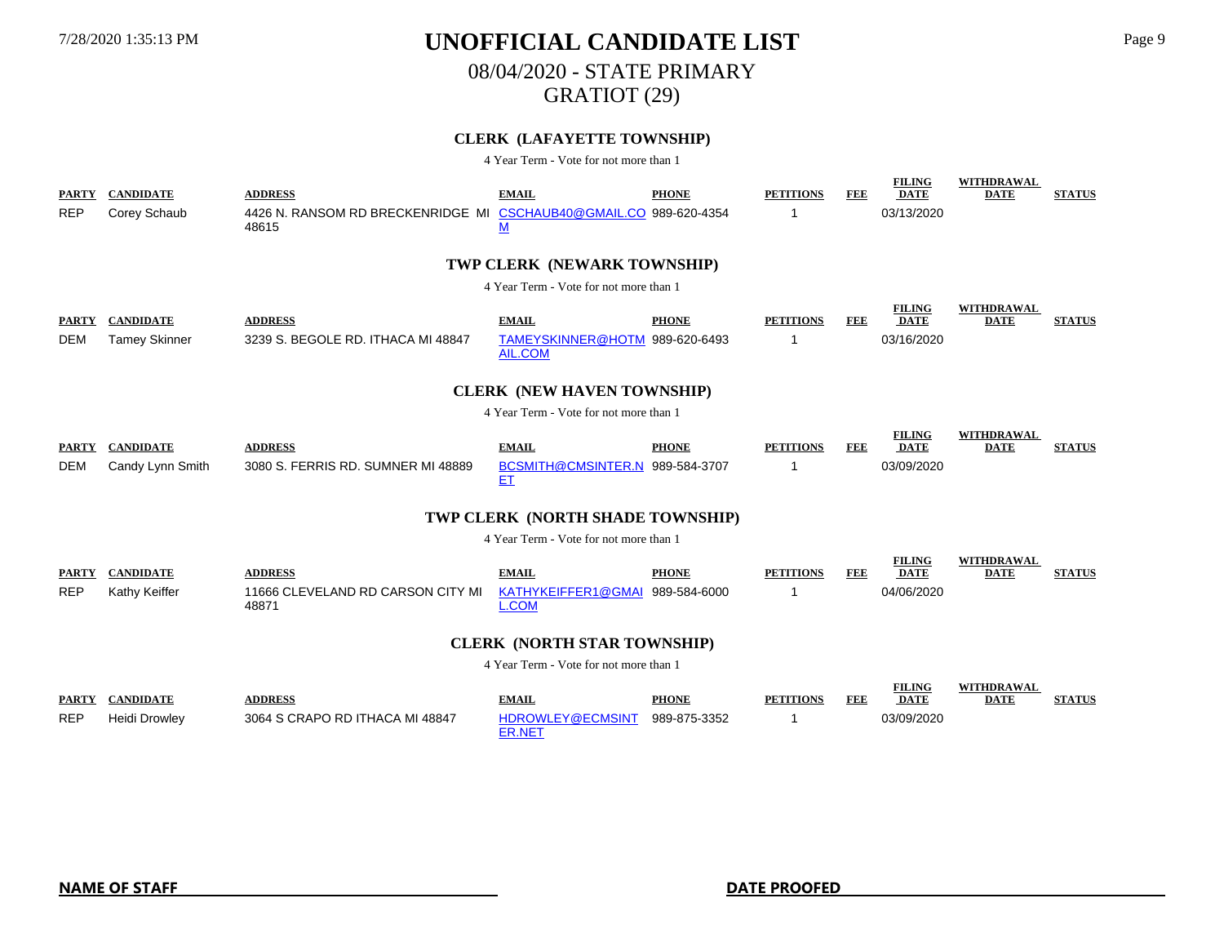# 08/04/2020 - STATE PRIMARY

GRATIOT (29)

### **CLERK (LAFAYETTE TOWNSHIP)**

| <b>PARTY</b><br><b>REP</b>             | <b>CANDIDATE</b><br>Corey Schaub         | <b>ADDRESS</b><br>4426 N. RANSOM RD BRECKENRIDGE MI<br>48615 | <b>EMAIL</b><br>CSCHAUB40@GMAIL.CO 989-620-4354<br><u>M</u>      | <b>PHONE</b>                 | <b>PETITIONS</b><br>-1 | FEE        | <b>FILING</b><br><b>DATE</b><br>03/13/2020 | WITHDRAWAL<br><b>DATE</b>        | <b>STATUS</b> |
|----------------------------------------|------------------------------------------|--------------------------------------------------------------|------------------------------------------------------------------|------------------------------|------------------------|------------|--------------------------------------------|----------------------------------|---------------|
|                                        |                                          |                                                              | TWP CLERK (NEWARK TOWNSHIP)                                      |                              |                        |            |                                            |                                  |               |
|                                        |                                          |                                                              | 4 Year Term - Vote for not more than 1                           |                              |                        |            |                                            |                                  |               |
| <b>PARTY</b><br><b>DEM</b>             | <b>CANDIDATE</b><br><b>Tamey Skinner</b> | <b>ADDRESS</b><br>3239 S. BEGOLE RD. ITHACA MI 48847         | <b>EMAIL</b><br>TAMEYSKINNER@HOTM 989-620-6493<br><b>AIL.COM</b> | <b>PHONE</b>                 | <b>PETITIONS</b><br>-1 | FEE        | <b>FILING</b><br><b>DATE</b><br>03/16/2020 | <b>WITHDRAWAL</b><br><b>DATE</b> | <b>STATUS</b> |
|                                        |                                          |                                                              | <b>CLERK (NEW HAVEN TOWNSHIP)</b>                                |                              |                        |            |                                            |                                  |               |
| 4 Year Term - Vote for not more than 1 |                                          |                                                              |                                                                  |                              |                        |            |                                            |                                  |               |
| <b>PARTY</b><br><b>DEM</b>             | <b>CANDIDATE</b><br>Candy Lynn Smith     | <b>ADDRESS</b><br>3080 S. FERRIS RD. SUMNER MI 48889         | <b>EMAIL</b><br>BCSMITH@CMSINTER.N 989-584-3707<br>EI            | <b>PHONE</b>                 | <b>PETITIONS</b><br>-1 | <b>FEE</b> | <b>FILING</b><br><b>DATE</b><br>03/09/2020 | <b>WITHDRAWAL</b><br><b>DATE</b> | <b>STATUS</b> |
|                                        |                                          |                                                              | TWP CLERK (NORTH SHADE TOWNSHIP)                                 |                              |                        |            |                                            |                                  |               |
|                                        |                                          |                                                              | 4 Year Term - Vote for not more than 1                           |                              |                        |            |                                            |                                  |               |
| <b>PARTY</b><br><b>REP</b>             | <b>CANDIDATE</b><br>Kathy Keiffer        | <b>ADDRESS</b><br>11666 CLEVELAND RD CARSON CITY MI<br>48871 | <b>EMAIL</b><br>KATHYKEIFFER1@GMAI 989-584-6000<br><b>L.COM</b>  | <b>PHONE</b>                 | <b>PETITIONS</b>       | <b>FEE</b> | <b>FILING</b><br><b>DATE</b><br>04/06/2020 | <b>WITHDRAWAL</b><br><b>DATE</b> | <b>STATUS</b> |
|                                        |                                          |                                                              | <b>CLERK (NORTH STAR TOWNSHIP)</b>                               |                              |                        |            |                                            |                                  |               |
|                                        |                                          |                                                              | 4 Year Term - Vote for not more than 1                           |                              |                        |            |                                            |                                  |               |
| <b>PARTY</b><br><b>REP</b>             | <b>CANDIDATE</b><br><b>Heidi Drowley</b> | <b>ADDRESS</b><br>3064 S CRAPO RD ITHACA MI 48847            | <b>EMAIL</b><br>HDROWLEY@ECMSINT<br><b>ER.NET</b>                | <b>PHONE</b><br>989-875-3352 | <b>PETITIONS</b><br>-1 | <b>FEE</b> | <b>FILING</b><br><b>DATE</b><br>03/09/2020 | <b>WITHDRAWAL</b><br><b>DATE</b> | <b>STATUS</b> |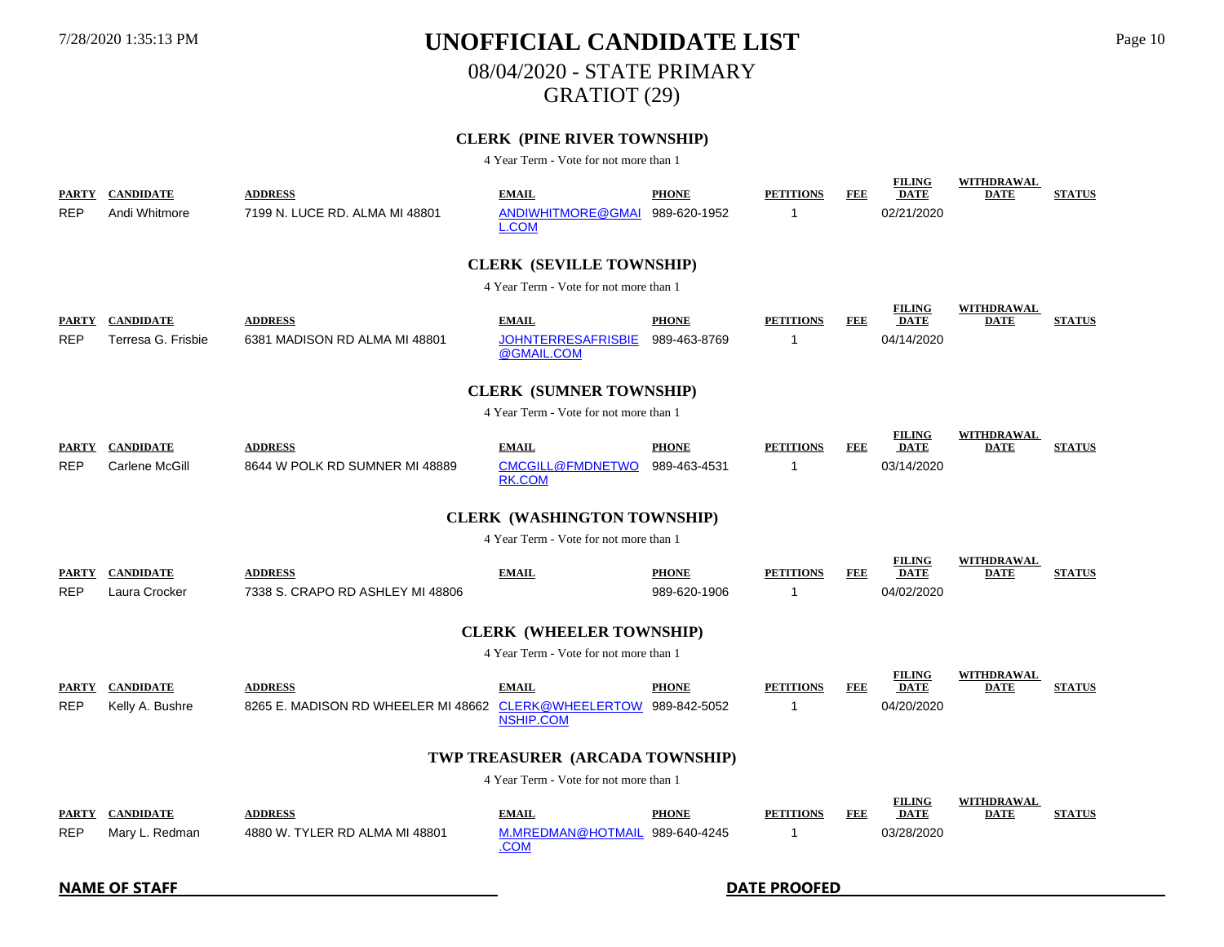08/04/2020 - STATE PRIMARY

GRATIOT (29)

### **CLERK (PINE RIVER TOWNSHIP)**

| <b>PARTY</b>        | <b>CANDIDATE</b>                       | <b>ADDRESS</b>                                                    | <b>EMAIL</b>                                  | <b>PHONE</b>                 | <b>PETITIONS</b>      | <b>FEE</b> | <b>FILING</b><br><b>DATE</b>               | <b>WITHDRAWAL</b><br><b>DATE</b> | <b>STATUS</b> |
|---------------------|----------------------------------------|-------------------------------------------------------------------|-----------------------------------------------|------------------------------|-----------------------|------------|--------------------------------------------|----------------------------------|---------------|
| REP                 | Andi Whitmore                          | 7199 N. LUCE RD. ALMA MI 48801                                    | ANDIWHITMORE@GMAI<br>L.COM                    | 989-620-1952                 |                       |            | 02/21/2020                                 |                                  |               |
|                     |                                        |                                                                   | <b>CLERK (SEVILLE TOWNSHIP)</b>               |                              |                       |            |                                            |                                  |               |
|                     |                                        |                                                                   | 4 Year Term - Vote for not more than 1        |                              |                       |            |                                            |                                  |               |
| <b>PARTY</b><br>REP | <b>CANDIDATE</b><br>Terresa G. Frisbie | <b>ADDRESS</b><br>6381 MADISON RD ALMA MI 48801                   | <b>EMAIL</b><br><b>JOHNTERRESAFRISBIE</b>     | <b>PHONE</b><br>989-463-8769 | <b>PETITIONS</b><br>1 | FEE        | <b>FILING</b><br><b>DATE</b><br>04/14/2020 | <b>WITHDRAWAL</b><br><b>DATE</b> | <b>STATUS</b> |
|                     |                                        |                                                                   | @GMAIL.COM                                    |                              |                       |            |                                            |                                  |               |
|                     |                                        |                                                                   | <b>CLERK (SUMNER TOWNSHIP)</b>                |                              |                       |            |                                            |                                  |               |
|                     |                                        |                                                                   | 4 Year Term - Vote for not more than 1        |                              |                       |            |                                            |                                  |               |
| <b>PARTY</b>        | <b>CANDIDATE</b>                       | <b>ADDRESS</b>                                                    | <b>EMAIL</b>                                  | <b>PHONE</b>                 | <b>PETITIONS</b>      | <b>FEE</b> | <b>FILING</b><br><b>DATE</b>               | <b>WITHDRAWAL</b><br><b>DATE</b> | <b>STATUS</b> |
| <b>REP</b>          | Carlene McGill                         | 8644 W POLK RD SUMNER MI 48889                                    | <b>CMCGILL@FMDNETWO</b><br>RK.COM             | 989-463-4531                 | -1                    |            | 03/14/2020                                 |                                  |               |
|                     |                                        |                                                                   | <b>CLERK (WASHINGTON TOWNSHIP)</b>            |                              |                       |            |                                            |                                  |               |
|                     |                                        |                                                                   | 4 Year Term - Vote for not more than 1        |                              |                       |            |                                            |                                  |               |
| <b>PARTY</b>        | <b>CANDIDATE</b>                       | <b>ADDRESS</b>                                                    | <b>EMAIL</b>                                  | <b>PHONE</b>                 | <b>PETITIONS</b>      | <b>FEE</b> | <b>FILING</b><br><b>DATE</b>               | <b>WITHDRAWAL</b><br><b>DATE</b> | <b>STATUS</b> |
| REP                 | Laura Crocker                          | 7338 S. CRAPO RD ASHLEY MI 48806                                  |                                               | 989-620-1906                 | -1                    |            | 04/02/2020                                 |                                  |               |
|                     |                                        |                                                                   | <b>CLERK (WHEELER TOWNSHIP)</b>               |                              |                       |            |                                            |                                  |               |
|                     |                                        |                                                                   | 4 Year Term - Vote for not more than 1        |                              |                       |            |                                            |                                  |               |
| <b>PARTY</b>        | <b>CANDIDATE</b>                       | <b>ADDRESS</b>                                                    | <b>EMAIL</b>                                  | <b>PHONE</b>                 | <b>PETITIONS</b>      | FEE        | <b>FILING</b><br><b>DATE</b>               | <b>WITHDRAWAL</b><br><b>DATE</b> | <b>STATUS</b> |
| <b>REP</b>          | Kelly A. Bushre                        | 8265 E. MADISON RD WHEELER MI 48662 CLERK@WHEELERTOW 989-842-5052 | <b>NSHIP.COM</b>                              |                              | -1                    |            | 04/20/2020                                 |                                  |               |
|                     |                                        |                                                                   | TWP TREASURER (ARCADA TOWNSHIP)               |                              |                       |            |                                            |                                  |               |
|                     |                                        |                                                                   | 4 Year Term - Vote for not more than 1        |                              |                       |            |                                            |                                  |               |
| <b>PARTY</b>        | <b>CANDIDATE</b>                       | <b>ADDRESS</b>                                                    | <b>EMAIL</b>                                  | <b>PHONE</b>                 | <b>PETITIONS</b>      | <b>FEE</b> | <b>FILING</b><br><b>DATE</b>               | WITHDRAWAL<br><b>DATE</b>        | <b>STATUS</b> |
| REP                 | Mary L. Redman                         | 4880 W. TYLER RD ALMA MI 48801                                    | M.MREDMAN@HOTMAIL 989-640-4245<br><u>.COM</u> |                              | 1                     |            | 03/28/2020                                 |                                  |               |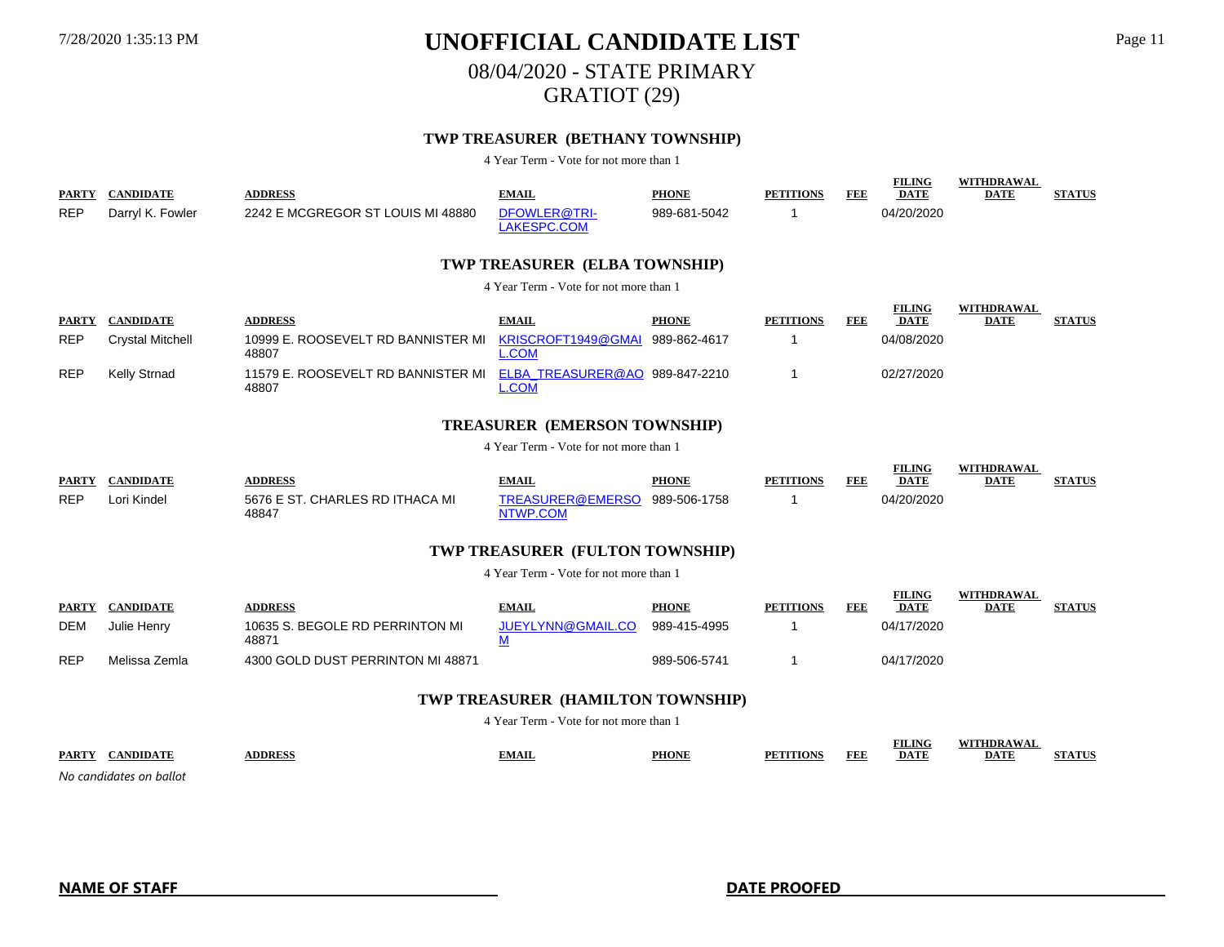08/04/2020 - STATE PRIMARY

GRATIOT (29)

### **TWP TREASURER (BETHANY TOWNSHIP)**

4 Year Term - Vote for not more than 1

| PARTY                                  | <b>CANDIDATE</b>        | <b>ADDRESS</b>                              | <b>EMAIL</b>                                   | <b>PHONE</b> | <b>PETITIONS</b> | FEE        | <b>FILING</b><br><b>DATE</b> | <b>WITHDRAWAL</b><br><b>DATE</b> | <b>STATUS</b> |
|----------------------------------------|-------------------------|---------------------------------------------|------------------------------------------------|--------------|------------------|------------|------------------------------|----------------------------------|---------------|
| <b>REP</b>                             | Darryl K. Fowler        | 2242 E MCGREGOR ST LOUIS MI 48880           | DFOWLER@TRI-<br>LAKESPC.COM                    | 989-681-5042 | -1               |            | 04/20/2020                   |                                  |               |
|                                        |                         |                                             | TWP TREASURER (ELBA TOWNSHIP)                  |              |                  |            |                              |                                  |               |
|                                        |                         |                                             | 4 Year Term - Vote for not more than 1         |              |                  |            |                              |                                  |               |
| <b>PARTY</b>                           | <b>CANDIDATE</b>        | <b>ADDRESS</b>                              | <b>EMAIL</b>                                   | <b>PHONE</b> | <b>PETITIONS</b> | FEE        | <b>FILING</b><br><b>DATE</b> | <b>WITHDRAWAL</b><br><b>DATE</b> | <b>STATUS</b> |
| <b>REP</b>                             | <b>Crystal Mitchell</b> | 10999 E. ROOSEVELT RD BANNISTER MI<br>48807 | KRISCROFT1949@GMAI<br>COM                      | 989-862-4617 | -1               |            | 04/08/2020                   |                                  |               |
| <b>REP</b>                             | <b>Kelly Strnad</b>     | 11579 E. ROOSEVELT RD BANNISTER MI<br>48807 | ELBA TREASURER@AO 989-847-2210<br><b>L.COM</b> |              | -1               |            | 02/27/2020                   |                                  |               |
|                                        |                         |                                             | <b>TREASURER (EMERSON TOWNSHIP)</b>            |              |                  |            |                              |                                  |               |
| 4 Year Term - Vote for not more than 1 |                         |                                             |                                                |              |                  |            |                              |                                  |               |
| <b>PARTY</b>                           | <b>CANDIDATE</b>        | <b>ADDRESS</b>                              | <b>EMAIL</b>                                   | <b>PHONE</b> | <b>PETITIONS</b> | FEE        | <b>FILING</b><br><b>DATE</b> | <b>WITHDRAWAL</b><br>DATE        | <b>STATUS</b> |
| <b>REP</b>                             | Lori Kindel             | 5676 E ST. CHARLES RD ITHACA MI<br>48847    | TREASURER@EMERSO<br>NTWP.COM                   | 989-506-1758 | -1               |            | 04/20/2020                   |                                  |               |
|                                        |                         |                                             | TWP TREASURER (FULTON TOWNSHIP)                |              |                  |            |                              |                                  |               |
|                                        |                         |                                             | 4 Year Term - Vote for not more than 1         |              |                  |            |                              |                                  |               |
| <b>PARTY</b>                           | <b>CANDIDATE</b>        | <b>ADDRESS</b>                              | <b>EMAIL</b>                                   | <b>PHONE</b> | <b>PETITIONS</b> | <b>FEE</b> | <b>FILING</b><br><b>DATE</b> | <b>WITHDRAWAL</b><br><b>DATE</b> | <b>STATUS</b> |
| <b>DEM</b>                             | Julie Henry             | 10635 S. BEGOLE RD PERRINTON MI<br>48871    | <b>JUEYLYNN@GMAIL.CO</b><br><u>M</u>           | 989-415-4995 | -1               |            | 04/17/2020                   |                                  |               |
| <b>REP</b>                             | Melissa Zemla           | 4300 GOLD DUST PERRINTON MI 48871           |                                                | 989-506-5741 | $\mathbf 1$      |            | 04/17/2020                   |                                  |               |
|                                        |                         |                                             | TWP TREASURER (HAMILTON TOWNSHIP)              |              |                  |            |                              |                                  |               |
|                                        |                         |                                             | 4 Year Term - Vote for not more than 1         |              |                  |            |                              |                                  |               |
|                                        | PARTY CANDIDATE         | <b>ADDRESS</b>                              | <b>EMAIL</b>                                   | <b>PHONE</b> | <b>PETITIONS</b> | <b>FEE</b> | <b>FILING</b><br><b>DATE</b> | <b>WITHDRAWAL</b><br><b>DATE</b> | <b>STATUS</b> |

*No candidates on ballot*

**NAME OF STAFF DATE PROOFED**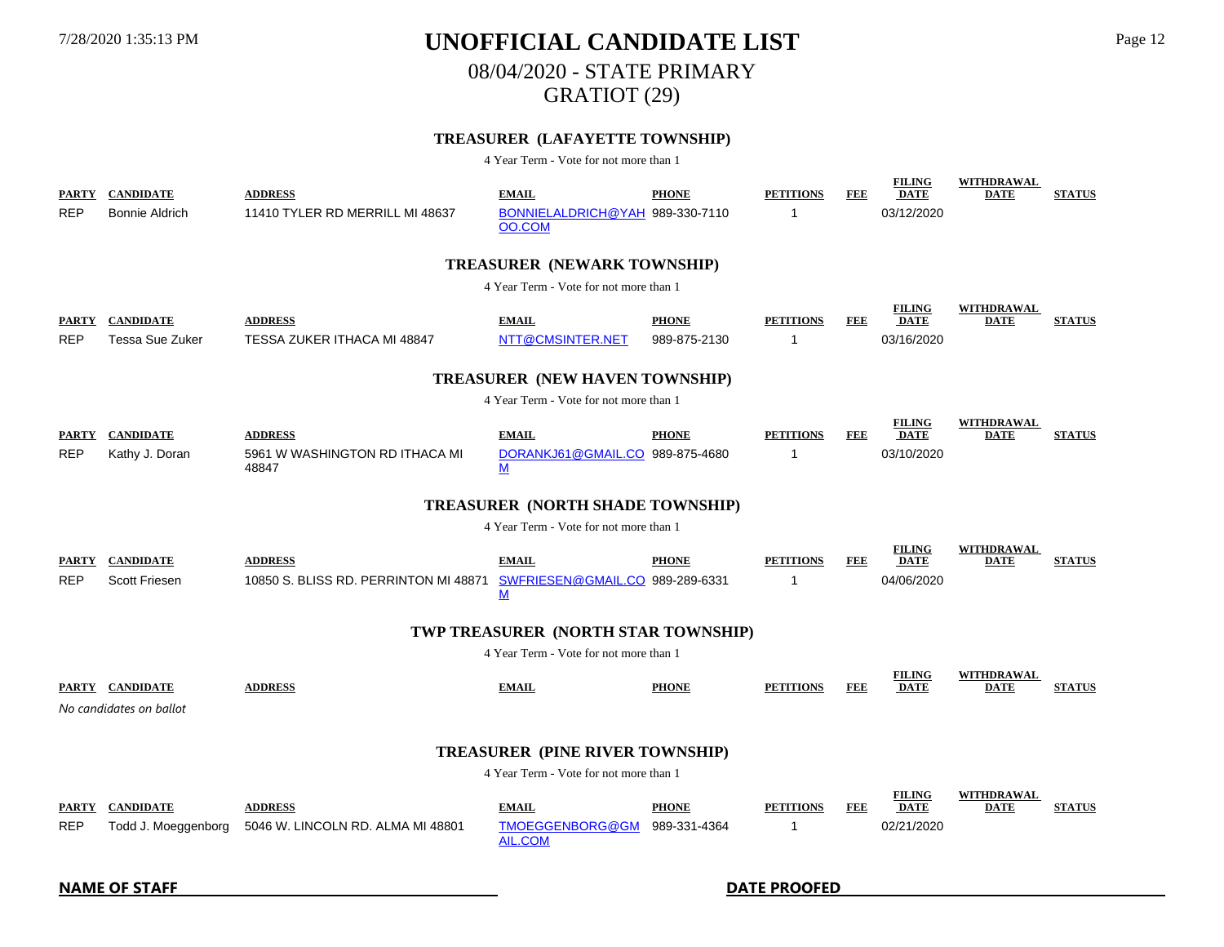# 08/04/2020 - STATE PRIMARY

GRATIOT (29)

### **TREASURER (LAFAYETTE TOWNSHIP)**

|                            | PARTY CANDIDATE                            | <b>ADDRESS</b>                                          | <b>EMAIL</b>                                    | <b>PHONE</b>                 | <b>PETITIONS</b>      | <b>FEE</b> | <b>FILING</b><br><b>DATE</b>               | <b>WITHDRAWAL</b><br><b>DATE</b> | <b>STATUS</b> |
|----------------------------|--------------------------------------------|---------------------------------------------------------|-------------------------------------------------|------------------------------|-----------------------|------------|--------------------------------------------|----------------------------------|---------------|
| <b>REP</b>                 | Bonnie Aldrich                             | 11410 TYLER RD MERRILL MI 48637                         | BONNIELALDRICH@YAH 989-330-7110<br>OO.COM       |                              | 1                     |            | 03/12/2020                                 |                                  |               |
|                            |                                            |                                                         | <b>TREASURER (NEWARK TOWNSHIP)</b>              |                              |                       |            |                                            |                                  |               |
|                            |                                            |                                                         | 4 Year Term - Vote for not more than 1          |                              |                       |            |                                            |                                  |               |
| <b>PARTY</b><br><b>REP</b> | <b>CANDIDATE</b><br><b>Tessa Sue Zuker</b> | <b>ADDRESS</b><br>TESSA ZUKER ITHACA MI 48847           | <b>EMAIL</b><br>NTT@CMSINTER.NET                | <b>PHONE</b><br>989-875-2130 | <b>PETITIONS</b><br>1 | <b>FEE</b> | <b>FILING</b><br><b>DATE</b><br>03/16/2020 | <b>WITHDRAWAL</b><br><b>DATE</b> | <b>STATUS</b> |
|                            |                                            |                                                         |                                                 |                              |                       |            |                                            |                                  |               |
|                            |                                            |                                                         | <b>TREASURER (NEW HAVEN TOWNSHIP)</b>           |                              |                       |            |                                            |                                  |               |
|                            |                                            |                                                         | 4 Year Term - Vote for not more than 1          |                              |                       |            |                                            |                                  |               |
| <b>PARTY</b>               | <b>CANDIDATE</b>                           | <b>ADDRESS</b>                                          | <b>EMAIL</b>                                    | <b>PHONE</b>                 | <b>PETITIONS</b>      | FEE        | <b>FILING</b><br><b>DATE</b>               | <b>WITHDRAWAL</b><br><b>DATE</b> | <b>STATUS</b> |
| <b>REP</b>                 | Kathy J. Doran                             | 5961 W WASHINGTON RD ITHACA MI<br>48847                 | DORANKJ61@GMAIL.CO 989-875-4680<br>M            |                              | 1                     |            | 03/10/2020                                 |                                  |               |
|                            |                                            |                                                         | <b>TREASURER (NORTH SHADE TOWNSHIP)</b>         |                              |                       |            |                                            |                                  |               |
|                            |                                            |                                                         | 4 Year Term - Vote for not more than 1          |                              |                       |            |                                            |                                  |               |
| <b>REP</b>                 | PARTY CANDIDATE<br><b>Scott Friesen</b>    | <b>ADDRESS</b><br>10850 S. BLISS RD. PERRINTON MI 48871 | <b>EMAIL</b><br>SWFRIESEN@GMAIL.CO 989-289-6331 | <b>PHONE</b>                 | <b>PETITIONS</b><br>1 | FEE        | <b>FILING</b><br><b>DATE</b><br>04/06/2020 | WITHDRAWAL<br><b>DATE</b>        | <b>STATUS</b> |
|                            |                                            |                                                         | М                                               |                              |                       |            |                                            |                                  |               |
|                            |                                            |                                                         | TWP TREASURER (NORTH STAR TOWNSHIP)             |                              |                       |            |                                            |                                  |               |
|                            |                                            |                                                         | 4 Year Term - Vote for not more than 1          |                              |                       |            |                                            |                                  |               |
|                            | PARTY CANDIDATE                            | <b>ADDRESS</b>                                          | <b>EMAIL</b>                                    | <b>PHONE</b>                 | <b>PETITIONS</b>      | FEE        | <b>FILING</b><br><b>DATE</b>               | <b>WITHDRAWAL</b><br><b>DATE</b> | <b>STATUS</b> |
|                            | No candidates on ballot                    |                                                         |                                                 |                              |                       |            |                                            |                                  |               |
|                            | <b>TREASURER (PINE RIVER TOWNSHIP)</b>     |                                                         |                                                 |                              |                       |            |                                            |                                  |               |
|                            |                                            |                                                         | 4 Year Term - Vote for not more than 1          |                              |                       |            |                                            |                                  |               |
|                            | PARTY CANDIDATE                            | <b>ADDRESS</b>                                          | <b>EMAIL</b>                                    | <b>PHONE</b>                 | <b>PETITIONS</b>      | FEE        | <b>FILING</b><br><b>DATE</b>               | WITHDRAWAL<br><b>DATE</b>        | <b>STATUS</b> |
| <b>REP</b>                 | Todd J. Moeggenborg                        | 5046 W. LINCOLN RD. ALMA MI 48801                       | TMOEGGENBORG@GM<br>AIL.COM                      | 989-331-4364                 | 1                     |            | 02/21/2020                                 |                                  |               |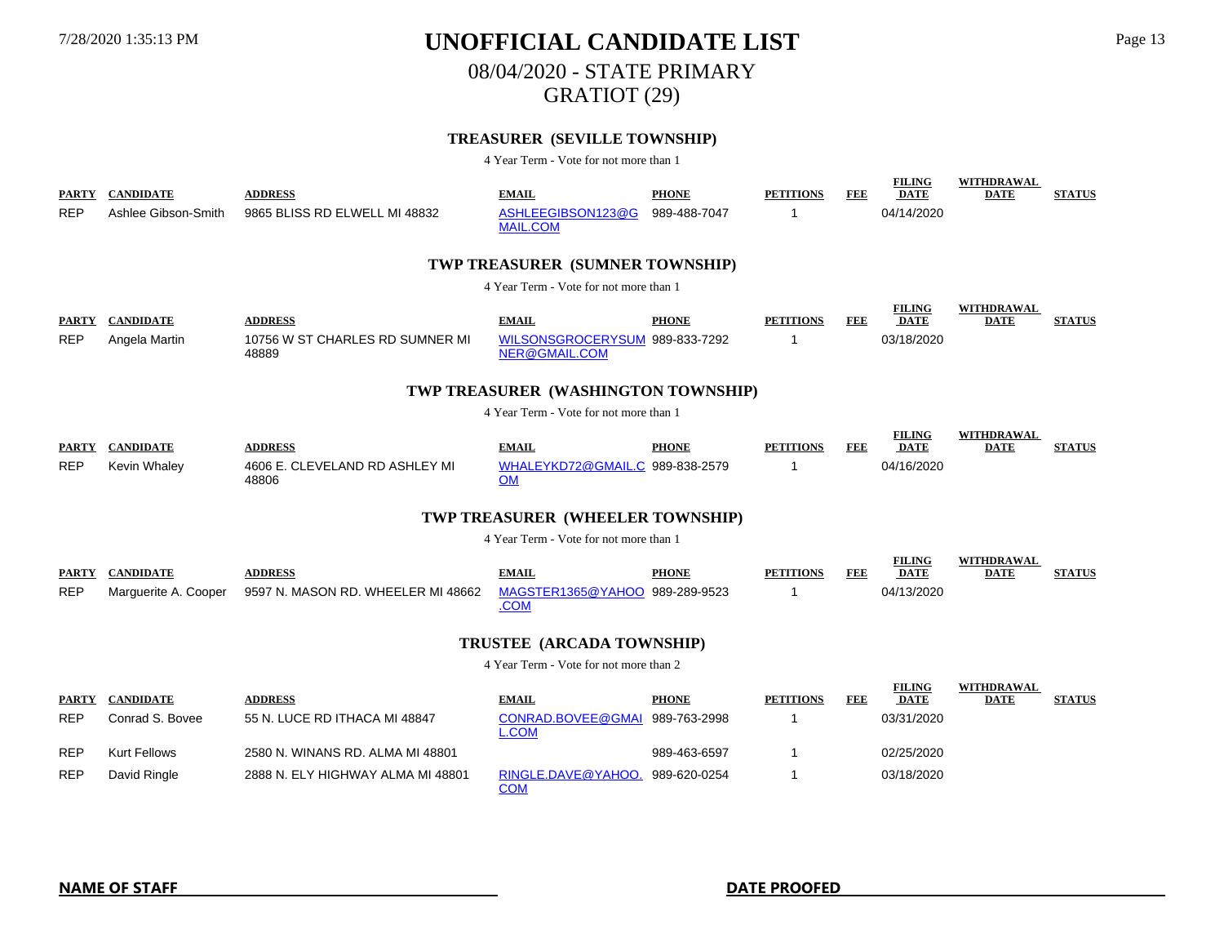08/04/2020 - STATE PRIMARY

GRATIOT (29)

### **TREASURER (SEVILLE TOWNSHIP)**

| <b>REP</b>                 | PARTY CANDIDATE<br>Ashlee Gibson-Smith | <b>ADDRESS</b><br>9865 BLISS RD ELWELL MI 48832 | <b>EMAIL</b><br>ASHLEEGIBSON123@G<br><b>MAIL.COM</b> | <b>PHONE</b><br>989-488-7047 | <b>PETITIONS</b><br>1 | FEE        | <b>FILING</b><br><b>DATE</b><br>04/14/2020 | <b>WITHDRAWAL</b><br><b>DATE</b> | <b>STATUS</b> |
|----------------------------|----------------------------------------|-------------------------------------------------|------------------------------------------------------|------------------------------|-----------------------|------------|--------------------------------------------|----------------------------------|---------------|
|                            |                                        |                                                 | TWP TREASURER (SUMNER TOWNSHIP)                      |                              |                       |            |                                            |                                  |               |
|                            |                                        |                                                 | 4 Year Term - Vote for not more than 1               |                              |                       |            |                                            |                                  |               |
| <b>PARTY</b>               | <b>CANDIDATE</b>                       | <b>ADDRESS</b>                                  | <b>EMAIL</b>                                         | <b>PHONE</b>                 | <b>PETITIONS</b>      | FEE        | <b>FILING</b><br><b>DATE</b>               | WITHDRAWAL<br><b>DATE</b>        | <b>STATUS</b> |
| <b>REP</b>                 | Angela Martin                          | 10756 W ST CHARLES RD SUMNER MI<br>48889        | WILSONSGROCERYSUM 989-833-7292<br>NER@GMAIL.COM      |                              | 1                     |            | 03/18/2020                                 |                                  |               |
|                            |                                        |                                                 | TWP TREASURER (WASHINGTON TOWNSHIP)                  |                              |                       |            |                                            |                                  |               |
|                            |                                        |                                                 | 4 Year Term - Vote for not more than 1               |                              |                       |            |                                            |                                  |               |
| <b>PARTY</b>               | <b>CANDIDATE</b>                       | <b>ADDRESS</b>                                  | <b>EMAIL</b>                                         | <b>PHONE</b>                 | <b>PETITIONS</b>      | <b>FEE</b> | <b>FILING</b><br><b>DATE</b>               | <b>WITHDRAWAL</b><br><b>DATE</b> | <b>STATUS</b> |
| <b>REP</b>                 | Kevin Whaley                           | 4606 E. CLEVELAND RD ASHLEY MI<br>48806         | WHALEYKD72@GMAIL.C 989-838-2579<br><b>OM</b>         |                              | 1                     |            | 04/16/2020                                 |                                  |               |
|                            |                                        |                                                 | TWP TREASURER (WHEELER TOWNSHIP)                     |                              |                       |            |                                            |                                  |               |
|                            |                                        |                                                 | 4 Year Term - Vote for not more than 1               |                              |                       |            |                                            |                                  |               |
|                            | PARTY CANDIDATE                        | <b>ADDRESS</b>                                  | <b>EMAIL</b>                                         | <b>PHONE</b>                 | <b>PETITIONS</b>      | <b>FEE</b> | <b>FILING</b><br><b>DATE</b>               | WITHDRAWAL<br><b>DATE</b>        | <b>STATUS</b> |
| <b>REP</b>                 | Marguerite A. Cooper                   | 9597 N. MASON RD. WHEELER MI 48662              | MAGSTER1365@YAHOO 989-289-9523<br>.COM               |                              | $\mathbf 1$           |            | 04/13/2020                                 |                                  |               |
|                            |                                        |                                                 | TRUSTEE (ARCADA TOWNSHIP)                            |                              |                       |            |                                            |                                  |               |
|                            |                                        |                                                 | 4 Year Term - Vote for not more than 2               |                              |                       |            |                                            |                                  |               |
|                            | <b>CANDIDATE</b>                       | <b>ADDRESS</b>                                  | <b>EMAIL</b>                                         | <b>PHONE</b>                 | <b>PETITIONS</b>      | <b>FEE</b> | <b>FILING</b><br><b>DATE</b>               | <b>WITHDRAWAL</b><br><b>DATE</b> | <b>STATUS</b> |
| <b>PARTY</b><br><b>REP</b> | Conrad S. Bovee                        | 55 N. LUCE RD ITHACA MI 48847                   | <b>CONRAD.BOVEE@GMAI</b><br><b>L.COM</b>             | 989-763-2998                 | 1                     |            | 03/31/2020                                 |                                  |               |
| REP                        | <b>Kurt Fellows</b>                    | 2580 N. WINANS RD. ALMA MI 48801                |                                                      | 989-463-6597                 | $\mathbf{1}$          |            | 02/25/2020                                 |                                  |               |
| <b>REP</b>                 | David Ringle                           | 2888 N. ELY HIGHWAY ALMA MI 48801               | RINGLE.DAVE@YAHOO.<br><b>COM</b>                     | 989-620-0254                 | $\mathbf 1$           |            | 03/18/2020                                 |                                  |               |
|                            |                                        |                                                 |                                                      |                              |                       |            |                                            |                                  |               |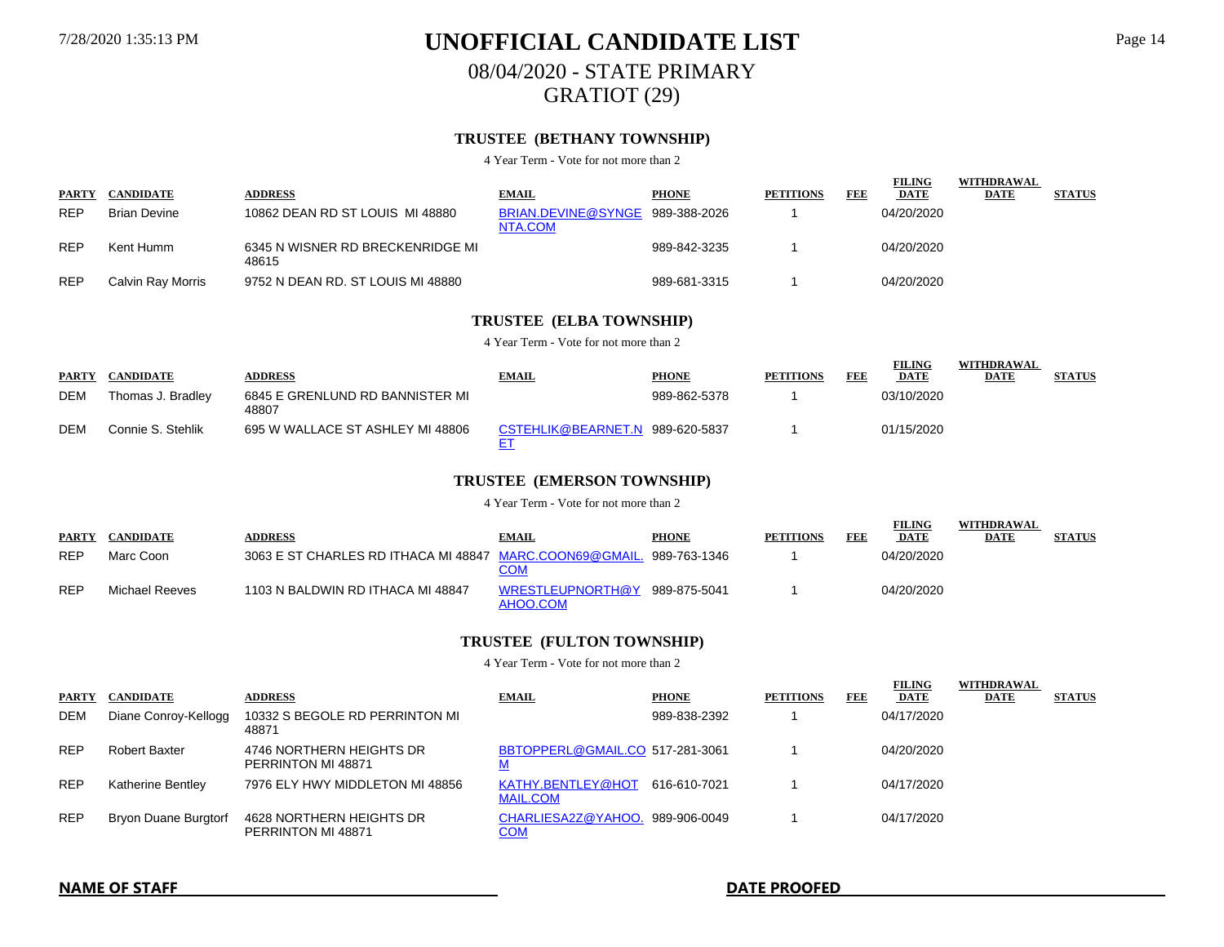### 7/28/2020 1:35:13 PM **UNOFFICIAL CANDIDATE LIST** Page 14 08/04/2020 - STATE PRIMARY GRATIOT (29)

### **TRUSTEE (BETHANY TOWNSHIP)**

4 Year Term - Vote for not more than 2

| <b>PARTY</b> | <b>CANDIDATE</b>    | <b>ADDRESS</b>                            | <b>EMAIL</b>                  | <b>PHONE</b> | <b>PETITIONS</b> | FEB | <b>FILING</b><br><b>DATE</b> | WITHDRAWAL<br><b>DATE</b> | <b>STATUS</b> |
|--------------|---------------------|-------------------------------------------|-------------------------------|--------------|------------------|-----|------------------------------|---------------------------|---------------|
| <b>REP</b>   | <b>Brian Devine</b> | 10862 DEAN RD ST LOUIS MI 48880           | BRIAN.DEVINE@SYNGE<br>NTA.COM | 989-388-2026 |                  |     | 04/20/2020                   |                           |               |
| <b>REP</b>   | Kent Humm           | 6345 N WISNER RD BRECKENRIDGE MI<br>48615 |                               | 989-842-3235 |                  |     | 04/20/2020                   |                           |               |
| <b>REP</b>   | Calvin Ray Morris   | 9752 N DEAN RD. ST LOUIS MI 48880         |                               | 989-681-3315 |                  |     | 04/20/2020                   |                           |               |

### **TRUSTEE (ELBA TOWNSHIP)**

4 Year Term - Vote for not more than 2

|              |                   |                                          |                    |              |                  |     | <b>FILING</b> | WITHDRAWAL  |               |
|--------------|-------------------|------------------------------------------|--------------------|--------------|------------------|-----|---------------|-------------|---------------|
| <b>PARTY</b> | <b>CANDIDATE</b>  | <b>ADDRESS</b>                           | <b>EMAIL</b>       | <b>PHONE</b> | <b>PETITIONS</b> | FEB | <b>DATE</b>   | <u>DATE</u> | <b>STATUS</b> |
| <b>DEM</b>   | Thomas J. Bradlev | 6845 E GRENLUND RD BANNISTER MI<br>48807 |                    | 989-862-5378 |                  |     | 03/10/2020    |             |               |
| <b>DEM</b>   | Connie S. Stehlik | 695 W WALLACE ST ASHLEY MI 48806         | CSTEHLIK@BEARNET.N | 989-620-5837 |                  |     | 01/15/2020    |             |               |

### **TRUSTEE (EMERSON TOWNSHIP)**

4 Year Term - Vote for not more than 2

|              |                  |                                                         |                              |              |                  |     | <b>FILING</b> | WITHDRAWAL  |               |
|--------------|------------------|---------------------------------------------------------|------------------------------|--------------|------------------|-----|---------------|-------------|---------------|
| <b>PARTY</b> | <b>CANDIDATE</b> | <b>ADDRESS</b>                                          | <b>EMAIL</b>                 | <b>PHONE</b> | <b>PETITIONS</b> | FEE | <b>DATE</b>   | <b>DATE</b> | <b>STATUS</b> |
| <b>REP</b>   | Marc Coon        | 3063 E ST CHARLES RD ITHACA MI 48847 MARC.COON69@GMAIL. | <b>COM</b>                   | 989-763-1346 |                  |     | 04/20/2020    |             |               |
| <b>REP</b>   | Michael Reeves   | 1103 N BALDWIN RD ITHACA MI 48847                       | WRESTLEUPNORTH@Y<br>AHOO.COM | 989-875-5041 |                  |     | 04/20/2020    |             |               |

#### **TRUSTEE (FULTON TOWNSHIP)**

| <b>PARTY</b> | <b>CANDIDATE</b>         | <b>ADDRESS</b>                                 | <b>EMAIL</b>                         | <b>PHONE</b> | <b>PETITIONS</b> | FEE | <b>FILING</b><br><b>DATE</b> | WITHDRAWAL<br><b>DATE</b> | <b>STATUS</b> |
|--------------|--------------------------|------------------------------------------------|--------------------------------------|--------------|------------------|-----|------------------------------|---------------------------|---------------|
| <b>DEM</b>   | Diane Conroy-Kellogg     | 10332 S BEGOLE RD PERRINTON MI<br>48871        |                                      | 989-838-2392 |                  |     | 04/17/2020                   |                           |               |
| <b>REP</b>   | <b>Robert Baxter</b>     | 4746 NORTHERN HEIGHTS DR<br>PERRINTON MI 48871 | BBTOPPERL@GMAIL.CO 517-281-3061      |              |                  |     | 04/20/2020                   |                           |               |
| <b>REP</b>   | <b>Katherine Bentley</b> | 7976 ELY HWY MIDDLETON MI 48856                | KATHY.BENTLEY@HOT<br><b>MAIL.COM</b> | 616-610-7021 |                  |     | 04/17/2020                   |                           |               |
| <b>REP</b>   | Bryon Duane Burgtorf     | 4628 NORTHERN HEIGHTS DR<br>PERRINTON MI 48871 | CHARLIESA2Z@YAHOO.<br><u>COM</u>     | 989-906-0049 |                  |     | 04/17/2020                   |                           |               |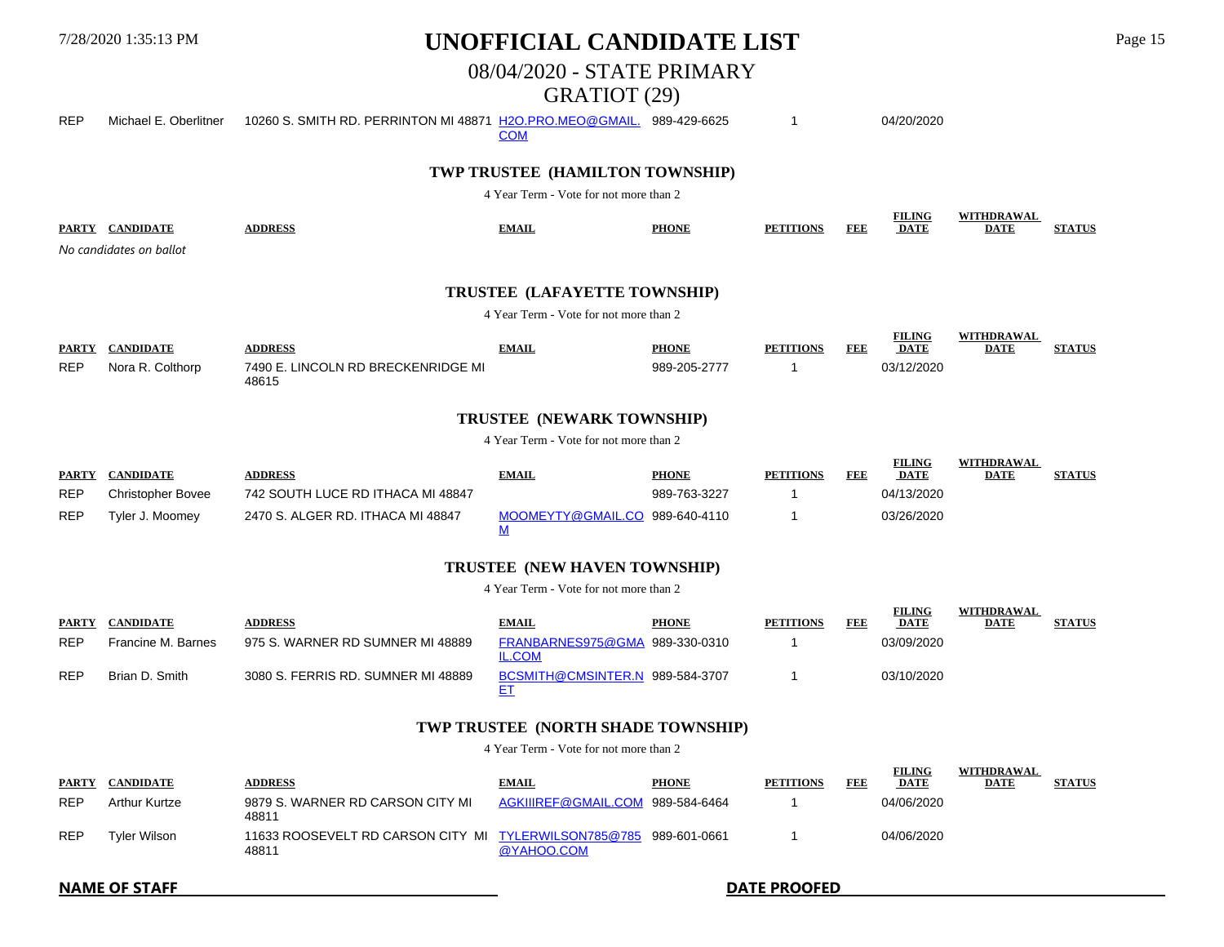08/04/2020 - STATE PRIMARY

### GRATIOT (29)

REP Michael E. Oberlitner 10260 S. SMITH RD. PERRINTON MI 48871 [H2O.PRO.MEO@GMAIL.](mailto:H2O.PRO.MEO@gmail.com?subject=Candidate%20List%20Report) 989-429-6625 1 04/20/2020 **COM** 

### **TWP TRUSTEE (HAMILTON TOWNSHIP)**

4 Year Term - Vote for not more than 2

| <b>PARTY</b><br>`ANDIDATE | <b>ADDRESS</b> | EMAIL | <b>PHONL</b> | <b>PETITIONS</b> | FEE | <b>FILING</b><br>DATF<br><u> The Communication of the Communication of the Communication of the Communication of the Communication of the Communication of the Communication of the Communication of the Communication of the Communication of the Commun</u> | <b>WITHDRAWAL</b><br><b>DATE</b> |  |
|---------------------------|----------------|-------|--------------|------------------|-----|---------------------------------------------------------------------------------------------------------------------------------------------------------------------------------------------------------------------------------------------------------------|----------------------------------|--|
| No candidates on ballot   |                |       |              |                  |     |                                                                                                                                                                                                                                                               |                                  |  |

### **TRUSTEE (LAFAYETTE TOWNSHIP)**

4 Year Term - Vote for not more than 2

| <b>PARTY</b> |                     | <b>A DDRES</b>                                                                                                 | EMAI | <b>PHONE</b> | FEI | <b>FILING</b><br><b>DATE</b> | <b>DATE</b> |  |
|--------------|---------------------|----------------------------------------------------------------------------------------------------------------|------|--------------|-----|------------------------------|-------------|--|
| <b>REP</b>   | Nora R.<br>`∩lth∩rn | ICOLN RD BRECKENRIDGE MI<br>$\overline{\phantom{a}}$ in $\overline{\phantom{a}}$<br>∩۵۵،<br>10C 1 E<br>100 I S |      | ספר          |     |                              |             |  |

### **TRUSTEE (NEWARK TOWNSHIP)**

4 Year Term - Vote for not more than 2

| <b>PARTY</b> | <b>CANDIDATE</b>         | <b>ADDRESS</b>                    | <b>EMAIL</b>      | <b>PHONE</b> | <b>PETITIONS</b> | FEB | <b>FILING</b><br>DATE | WITHDRAWAL<br><b>DATE</b> | <b>STATUS</b> |
|--------------|--------------------------|-----------------------------------|-------------------|--------------|------------------|-----|-----------------------|---------------------------|---------------|
| <b>REP</b>   | <b>Christopher Bovee</b> | 742 SOUTH LUCE RD ITHACA MI 48847 |                   | 989-763-3227 |                  |     | 04/13/2020            |                           |               |
| <b>REP</b>   | Tyler J. Moomev          | 2470 S. ALGER RD. ITHACA MI 48847 | MOOMEYTY@GMAIL.CO | 989-640-4110 |                  |     | 03/26/2020            |                           |               |

#### **TRUSTEE (NEW HAVEN TOWNSHIP)**

4 Year Term - Vote for not more than 2

| <b>PARTY</b> | <b>CANDIDATE</b>   | <b>ADDRESS</b>                     | <b>EMAIL</b>                    | <b>PHONE</b> | <b>PETITIONS</b> | FEB | <b>FILING</b><br><b>DATE</b> | <b>WITHDRAWAL</b><br><b>DATE</b> | <b>STATUS</b> |
|--------------|--------------------|------------------------------------|---------------------------------|--------------|------------------|-----|------------------------------|----------------------------------|---------------|
| <b>REP</b>   | Francine M. Barnes | 975 S. WARNER RD SUMNER MI 48889   | FRANBARNES975@GMA<br>IL.COM     | 989-330-0310 |                  |     | 03/09/2020                   |                                  |               |
| <b>REP</b>   | Brian D. Smith     | 3080 S. FERRIS RD. SUMNER MI 48889 | BCSMITH@CMSINTER.N 989-584-3707 |              |                  |     | 03/10/2020                   |                                  |               |

### **TWP TRUSTEE (NORTH SHADE TOWNSHIP)**

4 Year Term - Vote for not more than 2

| <b>PARTY</b> | <b>CANDIDATE</b> | <b>ADDRESS</b>                                                | <b>EMAIL</b>        | <b>PHONE</b> | <b>PETITIONS</b> | FI DI B | <b>FILING</b><br><b>DATE</b> | WITHDRAWAL<br>DATE | <b>STATUS</b> |
|--------------|------------------|---------------------------------------------------------------|---------------------|--------------|------------------|---------|------------------------------|--------------------|---------------|
| <b>REP</b>   | Arthur Kurtze    | 9879 S. WARNER RD CARSON CITY MI<br>48811                     | AGKIIIREF@GMAIL.COM | 989-584-6464 |                  |         | 04/06/2020                   |                    |               |
| <b>REP</b>   | Tvler Wilson     | 11633 ROOSEVELT RD CARSON CITY MI TYLERWILSON785@785<br>48811 | @YAHOO.COM          | 989-601-0661 |                  |         | 04/06/2020                   |                    |               |

**NAME OF STAFF DATE PROOFED**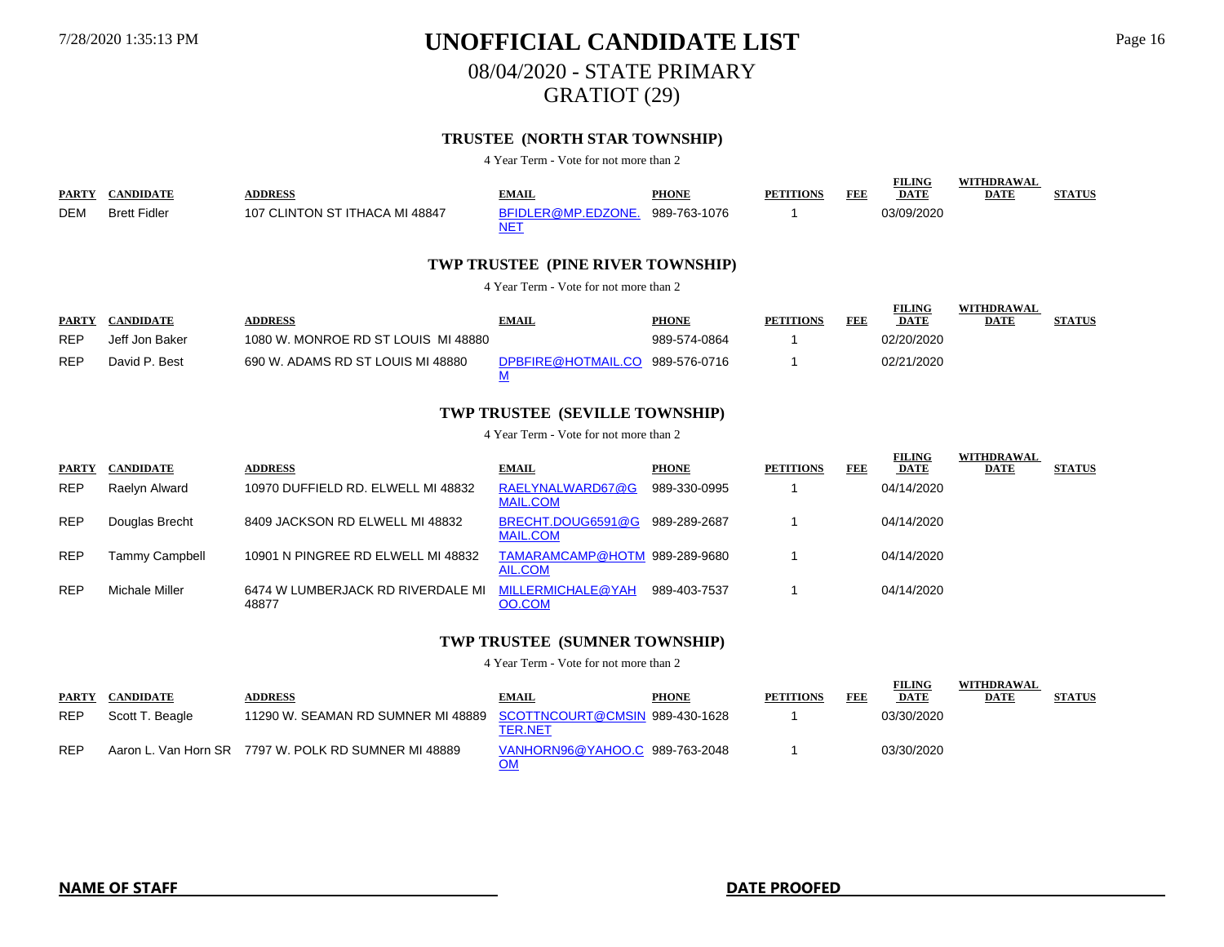08/04/2020 - STATE PRIMARY

GRATIOT (29)

### **TRUSTEE (NORTH STAR TOWNSHIP)**

4 Year Term - Vote for not more than 2

| <b>PARTY</b> | <b>CANDIDATE</b>                       | <b>ADDRESS</b>                      | <b>EMAIL</b>                                                                                                                                                                                                      | <b>PHONE</b> | <b>PETITIONS</b> | FEE        | <b>FILING</b><br><b>DATE</b> | <b>WITHDRAWAL</b><br><b>DATE</b> | <b>STATUS</b> |  |  |  |  |
|--------------|----------------------------------------|-------------------------------------|-------------------------------------------------------------------------------------------------------------------------------------------------------------------------------------------------------------------|--------------|------------------|------------|------------------------------|----------------------------------|---------------|--|--|--|--|
| DEM          | <b>Brett Fidler</b>                    | 107 CLINTON ST ITHACA MI 48847      | BFIDLER@MP.EDZONE.<br>NET<br>TWP TRUSTEE (PINE RIVER TOWNSHIP)                                                                                                                                                    | 989-763-1076 |                  |            | 03/09/2020                   |                                  |               |  |  |  |  |
|              | 4 Year Term - Vote for not more than 2 |                                     |                                                                                                                                                                                                                   |              |                  |            |                              |                                  |               |  |  |  |  |
| <b>PARTY</b> | <b>CANDIDATE</b>                       | <b>ADDRESS</b>                      | <b>EMAIL</b>                                                                                                                                                                                                      | <b>PHONE</b> | <b>PETITIONS</b> | <b>FEE</b> | <b>FILING</b><br><b>DATE</b> | <b>WITHDRAWAL</b><br><b>DATE</b> | <b>STATUS</b> |  |  |  |  |
| <b>REP</b>   | Jeff Jon Baker                         | 1080 W. MONROE RD ST LOUIS MI 48880 |                                                                                                                                                                                                                   | 989-574-0864 |                  |            | 02/20/2020                   |                                  |               |  |  |  |  |
| <b>REP</b>   | David P. Best                          | 690 W. ADAMS RD ST LOUIS MI 48880   | DPBFIRE@HOTMAIL.CO<br>М                                                                                                                                                                                           | 989-576-0716 |                  |            | 02/21/2020                   |                                  |               |  |  |  |  |
|              |                                        |                                     | <b>TWP TRUSTEE (SEVILLE TOWNSHIP)</b>                                                                                                                                                                             |              |                  |            |                              |                                  |               |  |  |  |  |
|              |                                        |                                     | $\Lambda$ V <sub>ran</sub> T <sub>rans</sub> V <sub>r</sub> ( $\Lambda$ <sub>r</sub> $\Lambda$ <sub>r</sub> $\Lambda$ <sub>r</sub> $\Lambda$ <sub>r</sub> $\Lambda$ <sub>r</sub> $\Lambda$ <sub>r</sub> $\Lambda$ |              |                  |            |                              |                                  |               |  |  |  |  |

4 Year Term - Vote for not more than 2

| <b>PARTY</b> | <b>CANDIDATE</b>      | <b>ADDRESS</b>                             | <b>EMAIL</b>                             | <b>PHONE</b> | <b>PETITIONS</b> | FEE | <b>FILING</b><br><b>DATE</b> | WITHDRAWAL<br><b>DATE</b> | <b>STATUS</b> |
|--------------|-----------------------|--------------------------------------------|------------------------------------------|--------------|------------------|-----|------------------------------|---------------------------|---------------|
| <b>REP</b>   | Raelyn Alward         | 10970 DUFFIELD RD. ELWELL MI 48832         | RAELYNALWARD67@G<br><b>MAIL.COM</b>      | 989-330-0995 |                  |     | 04/14/2020                   |                           |               |
| <b>REP</b>   | Douglas Brecht        | 8409 JACKSON RD ELWELL MI 48832            | BRECHT.DOUG6591@G<br><b>MAIL.COM</b>     | 989-289-2687 |                  |     | 04/14/2020                   |                           |               |
| <b>REP</b>   | <b>Tammy Campbell</b> | 10901 N PINGREE RD ELWELL MI 48832         | TAMARAMCAMP@HOTM 989-289-9680<br>AIL.COM |              |                  |     | 04/14/2020                   |                           |               |
| <b>REP</b>   | Michale Miller        | 6474 W LUMBERJACK RD RIVERDALE MI<br>48877 | MILLERMICHALE@YAH<br>OO.COM              | 989-403-7537 |                  |     | 04/14/2020                   |                           |               |

### **TWP TRUSTEE (SUMNER TOWNSHIP)**

| <b>PARTY</b> | <b>CANDIDATE</b> | <b>ADDRESS</b>                                                    | <b>EMAIL</b>                   | <b>PHONE</b> | <b>PETITIONS</b> | FEB | <b>FILING</b><br><b>DATE</b> | WITHDRAWAL<br><b>DATE</b> | <b>STATUS</b> |
|--------------|------------------|-------------------------------------------------------------------|--------------------------------|--------------|------------------|-----|------------------------------|---------------------------|---------------|
| <b>REP</b>   | Scott T. Beagle  | 11290 W. SEAMAN RD SUMNER MI 48889 SCOTTNCOURT@CMSIN 989-430-1628 | <b>TER.NET</b>                 |              |                  |     | 03/30/2020                   |                           |               |
| <b>REP</b>   |                  | Aaron L. Van Horn SR 7797 W. POLK RD SUMNER MI 48889              | VANHORN96@YAHOO.C 989-763-2048 |              |                  |     | 03/30/2020                   |                           |               |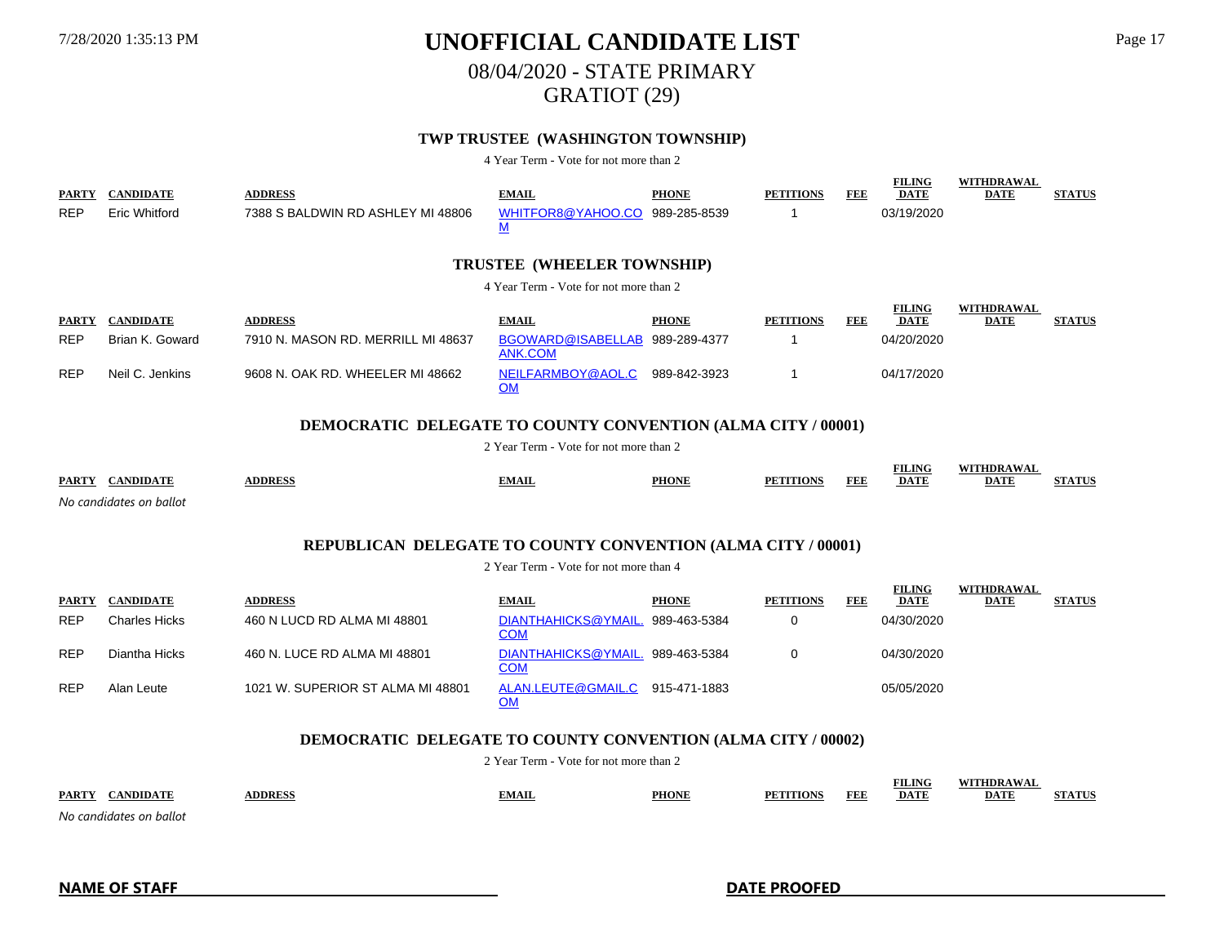08/04/2020 - STATE PRIMARY

GRATIOT (29)

### **TWP TRUSTEE (WASHINGTON TOWNSHIP)**

4 Year Term - Vote for not more than 2

| <b>PARTY</b><br><b>REP</b>                                          | <b>CANDIDATE</b><br><b>Eric Whitford</b> | <b>ADDRESS</b><br>7388 S BALDWIN RD ASHLEY MI 48806                 | <b>EMAIL</b><br>WHITFOR8@YAHOO.CO 989-285-8539<br>${\bf M}$ | <b>PHONE</b> | <b>PETITIONS</b><br>-1 | <b>FEE</b> | <b>FILING</b><br><b>DATE</b><br>03/19/2020 | <b>WITHDRAWAL</b><br><b>DATE</b> | <b>STATUS</b> |  |  |  |
|---------------------------------------------------------------------|------------------------------------------|---------------------------------------------------------------------|-------------------------------------------------------------|--------------|------------------------|------------|--------------------------------------------|----------------------------------|---------------|--|--|--|
|                                                                     |                                          |                                                                     | <b>TRUSTEE (WHEELER TOWNSHIP)</b>                           |              |                        |            |                                            |                                  |               |  |  |  |
|                                                                     |                                          |                                                                     | 4 Year Term - Vote for not more than 2                      |              |                        |            |                                            |                                  |               |  |  |  |
| <b>PARTY</b>                                                        | <b>CANDIDATE</b>                         | <b>ADDRESS</b>                                                      | <b>EMAIL</b>                                                | <b>PHONE</b> | <b>PETITIONS</b>       | FEE        | <b>FILING</b><br><b>DATE</b>               | WITHDRAWAL<br><b>DATE</b>        | <b>STATUS</b> |  |  |  |
| <b>REP</b>                                                          | Brian K. Goward                          | 7910 N. MASON RD. MERRILL MI 48637                                  | BGOWARD@ISABELLAB 989-289-4377<br><b>ANK.COM</b>            |              | -1                     |            | 04/20/2020                                 |                                  |               |  |  |  |
| <b>REP</b>                                                          | Neil C. Jenkins                          | 9608 N. OAK RD. WHEELER MI 48662                                    | NEILFARMBOY@AOL.C<br><b>OM</b>                              | 989-842-3923 | 1                      |            | 04/17/2020                                 |                                  |               |  |  |  |
| <b>DEMOCRATIC DELEGATE TO COUNTY CONVENTION (ALMA CITY / 00001)</b> |                                          |                                                                     |                                                             |              |                        |            |                                            |                                  |               |  |  |  |
|                                                                     |                                          |                                                                     | 2 Year Term - Vote for not more than 2                      |              |                        |            |                                            |                                  |               |  |  |  |
|                                                                     | PARTY CANDIDATE                          | <b>ADDRESS</b>                                                      | <b>EMAIL</b>                                                | <b>PHONE</b> | <b>PETITIONS</b>       | <b>FEE</b> | <b>FILING</b><br><b>DATE</b>               | <b>WITHDRAWAL</b><br><b>DATE</b> | <b>STATUS</b> |  |  |  |
|                                                                     | No candidates on ballot                  |                                                                     |                                                             |              |                        |            |                                            |                                  |               |  |  |  |
|                                                                     |                                          | <b>REPUBLICAN DELEGATE TO COUNTY CONVENTION (ALMA CITY / 00001)</b> |                                                             |              |                        |            |                                            |                                  |               |  |  |  |
|                                                                     |                                          |                                                                     | 2 Year Term - Vote for not more than 4                      |              |                        |            |                                            |                                  |               |  |  |  |
| <b>PARTY</b>                                                        | <b>CANDIDATE</b>                         | <b>ADDRESS</b>                                                      | <b>EMAIL</b>                                                | <b>PHONE</b> | <b>PETITIONS</b>       | <b>FEE</b> | <b>FILING</b><br><b>DATE</b>               | WITHDRAWAL<br><b>DATE</b>        | <b>STATUS</b> |  |  |  |
| <b>REP</b>                                                          | <b>Charles Hicks</b>                     | 460 N LUCD RD ALMA MI 48801                                         | DIANTHAHICKS@YMAIL.<br><b>COM</b>                           | 989-463-5384 | 0                      |            | 04/30/2020                                 |                                  |               |  |  |  |
| <b>REP</b>                                                          | Diantha Hicks                            | 460 N. LUCE RD ALMA MI 48801                                        | DIANTHAHICKS@YMAIL.<br><b>COM</b>                           | 989-463-5384 | 0                      |            | 04/30/2020                                 |                                  |               |  |  |  |
| <b>REP</b>                                                          | Alan Leute                               | 1021 W. SUPERIOR ST ALMA MI 48801                                   | ALAN.LEUTE@GMAIL.C<br><b>OM</b>                             | 915-471-1883 |                        |            | 05/05/2020                                 |                                  |               |  |  |  |
|                                                                     |                                          |                                                                     |                                                             |              |                        |            |                                            |                                  |               |  |  |  |

### **DEMOCRATIC DELEGATE TO COUNTY CONVENTION (ALMA CITY / 00002)**

2 Year Term - Vote for not more than 2

| <b>PARTY</b>            | DDRFS | <b>PHONI</b> | FEF | <b>FILING</b><br>DAT" | HDR A W / |  |
|-------------------------|-------|--------------|-----|-----------------------|-----------|--|
| No candidatos on hallot |       |              |     |                       |           |  |

*No candidates on ballot*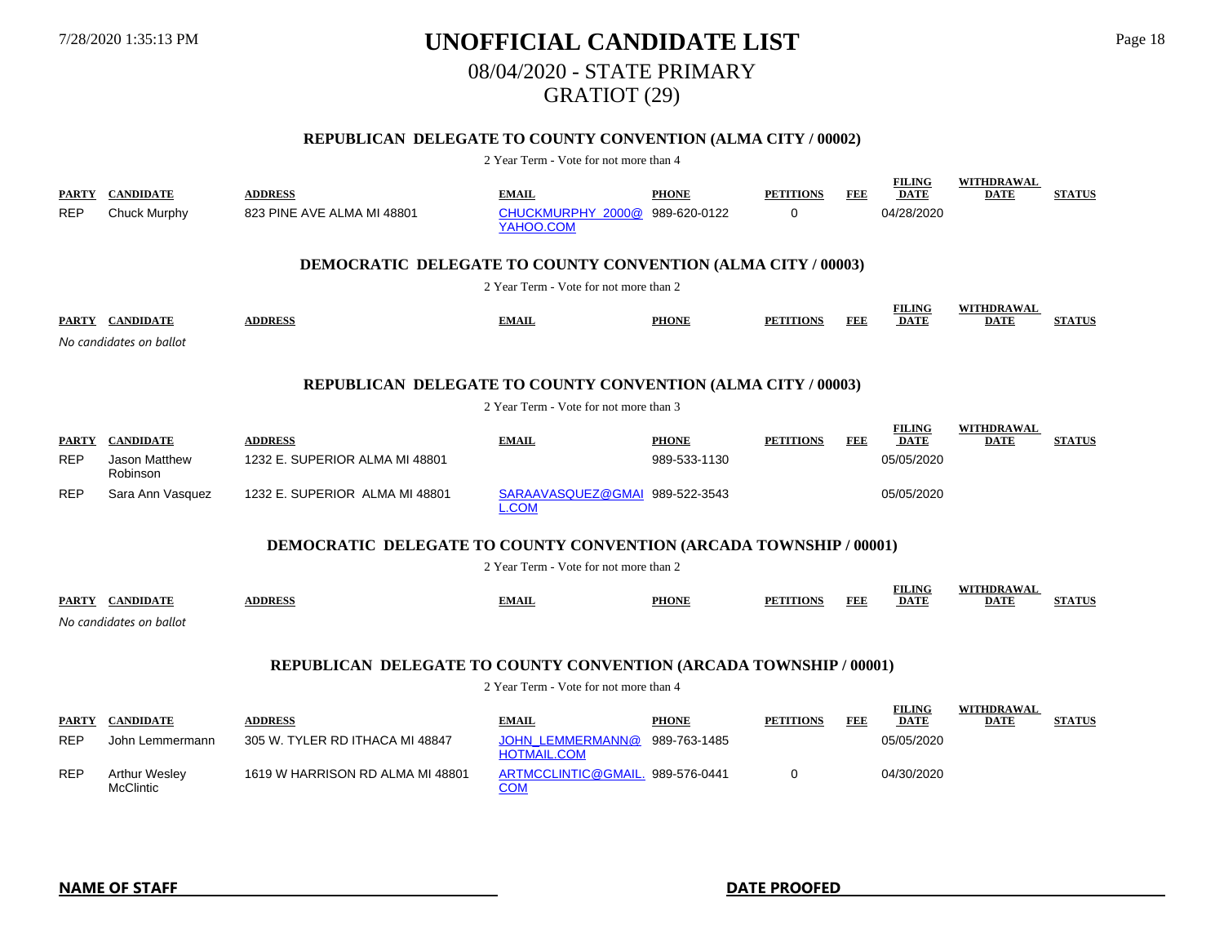# 7/28/2020 1:35:13 PM **UNOFFICIAL CANDIDATE LIST** Page 18 08/04/2020 - STATE PRIMARY GRATIOT (29)

### **REPUBLICAN DELEGATE TO COUNTY CONVENTION (ALMA CITY / 00002)**

| PARTY<br><b>REP</b>                                          | <b>CANDIDATE</b><br>Chuck Murphy         | <b>ADDRESS</b><br>823 PINE AVE ALMA MI 48801                              | <b>EMAIL</b><br>CHUCKMURPHY 2000@<br>YAHOO.COM | <b>PHONE</b><br>989-620-0122 | <b>PETITIONS</b><br>$\Omega$ | FEE | <b>FILING</b><br><b>DATE</b><br>04/28/2020 | <b>WITHDRAWAL</b><br><b>DATE</b> | <b>STATUS</b> |  |  |  |
|--------------------------------------------------------------|------------------------------------------|---------------------------------------------------------------------------|------------------------------------------------|------------------------------|------------------------------|-----|--------------------------------------------|----------------------------------|---------------|--|--|--|
|                                                              |                                          | <b>DEMOCRATIC DELEGATE TO COUNTY CONVENTION (ALMA CITY / 00003)</b>       |                                                |                              |                              |     |                                            |                                  |               |  |  |  |
|                                                              |                                          |                                                                           | 2 Year Term - Vote for not more than 2         |                              |                              |     |                                            |                                  |               |  |  |  |
|                                                              |                                          |                                                                           |                                                |                              |                              |     | <b>FILING</b>                              | <b>WITHDRAWAL</b>                |               |  |  |  |
|                                                              | PARTY CANDIDATE                          | <b>ADDRESS</b>                                                            | <b>EMAIL</b>                                   | <b>PHONE</b>                 | <b>PETITIONS</b>             | FEE | <b>DATE</b>                                | DATE                             | <b>STATUS</b> |  |  |  |
|                                                              | No candidates on ballot                  |                                                                           |                                                |                              |                              |     |                                            |                                  |               |  |  |  |
| REPUBLICAN DELEGATE TO COUNTY CONVENTION (ALMA CITY / 00003) |                                          |                                                                           |                                                |                              |                              |     |                                            |                                  |               |  |  |  |
|                                                              |                                          |                                                                           | 2 Year Term - Vote for not more than 3         |                              |                              |     |                                            |                                  |               |  |  |  |
| <b>PARTY</b>                                                 | <b>CANDIDATE</b>                         | <b>ADDRESS</b>                                                            | <b>EMAIL</b>                                   | <b>PHONE</b>                 | <b>PETITIONS</b>             | FEE | <b>FILING</b><br><b>DATE</b>               | WITHDRAWAL<br><b>DATE</b>        | <b>STATUS</b> |  |  |  |
| <b>REP</b>                                                   | Jason Matthew<br>Robinson                | 1232 E. SUPERIOR ALMA MI 48801                                            |                                                | 989-533-1130                 |                              |     | 05/05/2020                                 |                                  |               |  |  |  |
| <b>REP</b>                                                   | Sara Ann Vasquez                         | 1232 E. SUPERIOR ALMA MI 48801                                            | SARAAVASQUEZ@GMAI 989-522-3543<br>COM          |                              |                              |     | 05/05/2020                                 |                                  |               |  |  |  |
|                                                              |                                          | <b>DEMOCRATIC DELEGATE TO COUNTY CONVENTION (ARCADA TOWNSHIP / 00001)</b> |                                                |                              |                              |     |                                            |                                  |               |  |  |  |
|                                                              |                                          |                                                                           | 2 Year Term - Vote for not more than 2         |                              |                              |     |                                            |                                  |               |  |  |  |
|                                                              | PARTY CANDIDATE                          | <b>ADDRESS</b>                                                            | <b>EMAIL</b>                                   | <b>PHONE</b>                 | <b>PETITIONS</b>             | FEE | <b>FILING</b><br><b>DATE</b>               | WITHDRAWAL<br><b>DATE</b>        | <b>STATUS</b> |  |  |  |
|                                                              | No candidates on ballot                  |                                                                           |                                                |                              |                              |     |                                            |                                  |               |  |  |  |
|                                                              |                                          |                                                                           |                                                |                              |                              |     |                                            |                                  |               |  |  |  |
|                                                              |                                          | REPUBLICAN DELEGATE TO COUNTY CONVENTION (ARCADA TOWNSHIP / 00001)        |                                                |                              |                              |     |                                            |                                  |               |  |  |  |
|                                                              |                                          |                                                                           | 2 Year Term - Vote for not more than 4         |                              |                              |     |                                            |                                  |               |  |  |  |
|                                                              |                                          |                                                                           |                                                |                              |                              |     | <b>FILING</b>                              | WITHDRAWAL                       |               |  |  |  |
| PARTY<br><b>REP</b>                                          | <b>CANDIDATE</b><br>John Lemmermann      | <b>ADDRESS</b><br>305 W. TYLER RD ITHACA MI 48847                         | <b>EMAIL</b><br><b>JOHN LEMMERMANN@</b>        | <b>PHONE</b><br>989-763-1485 | <b>PETITIONS</b>             | FEE | <b>DATE</b><br>05/05/2020                  | <b>DATE</b>                      | <b>STATUS</b> |  |  |  |
|                                                              |                                          |                                                                           | <b>HOTMAIL.COM</b>                             |                              |                              |     |                                            |                                  |               |  |  |  |
| <b>REP</b>                                                   | <b>Arthur Wesley</b><br><b>McClintic</b> | 1619 W HARRISON RD ALMA MI 48801                                          | ARTMCCLINTIC@GMAIL. 989-576-0441<br><b>COM</b> |                              | 0                            |     | 04/30/2020                                 |                                  |               |  |  |  |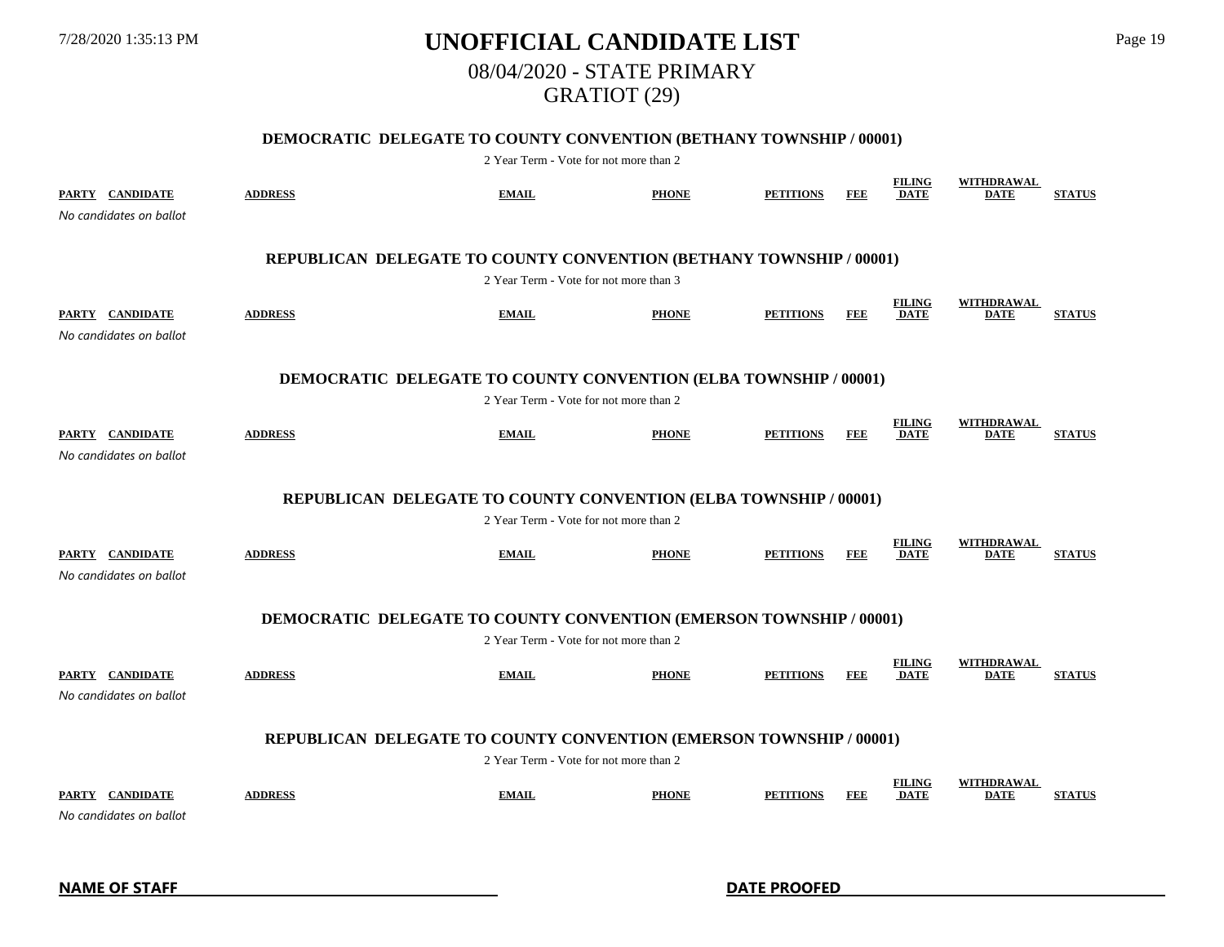# 7/28/2020 1:35:13 PM **UNOFFICIAL CANDIDATE LIST** Page 19 08/04/2020 - STATE PRIMARY GRATIOT (29)

### **DEMOCRATIC DELEGATE TO COUNTY CONVENTION (BETHANY TOWNSHIP / 00001)**

| PARTY CANDIDATE<br>No candidates on ballot                       | <b>ADDRESS</b>                                                             | <b>EMAIL</b>                           | <b>PHONE</b> | <b>PETITIONS</b> | FEE        | <b>FILING</b><br><b>DATE</b> | WITHDRAWAL<br><b>DATE</b>        | <b>STATUS</b> |  |  |  |
|------------------------------------------------------------------|----------------------------------------------------------------------------|----------------------------------------|--------------|------------------|------------|------------------------------|----------------------------------|---------------|--|--|--|
|                                                                  | REPUBLICAN DELEGATE TO COUNTY CONVENTION (BETHANY TOWNSHIP / 00001)        |                                        |              |                  |            |                              |                                  |               |  |  |  |
|                                                                  |                                                                            | 2 Year Term - Vote for not more than 3 |              |                  |            |                              |                                  |               |  |  |  |
| PARTY CANDIDATE<br>No candidates on ballot                       | <b>ADDRESS</b>                                                             | <b>EMAIL</b>                           | <b>PHONE</b> | <b>PETITIONS</b> | FEE        | <b>FILING</b><br><b>DATE</b> | WITHDRAWAL<br><b>DATE</b>        | <b>STATUS</b> |  |  |  |
|                                                                  | <b>DEMOCRATIC DELEGATE TO COUNTY CONVENTION (ELBA TOWNSHIP / 00001)</b>    |                                        |              |                  |            |                              |                                  |               |  |  |  |
|                                                                  |                                                                            | 2 Year Term - Vote for not more than 2 |              |                  |            |                              |                                  |               |  |  |  |
| PARTY CANDIDATE<br>No candidates on ballot                       | <b>ADDRESS</b>                                                             | <b>EMAIL</b>                           | <b>PHONE</b> | <b>PETITIONS</b> | <b>FEE</b> | <b>FILING</b><br><b>DATE</b> | <b>WITHDRAWAL</b><br><b>DATE</b> | <b>STATUS</b> |  |  |  |
| REPUBLICAN DELEGATE TO COUNTY CONVENTION (ELBA TOWNSHIP / 00001) |                                                                            |                                        |              |                  |            |                              |                                  |               |  |  |  |
|                                                                  | 2 Year Term - Vote for not more than 2                                     |                                        |              |                  |            |                              |                                  |               |  |  |  |
| PARTY CANDIDATE<br>No candidates on ballot                       | <b>ADDRESS</b>                                                             | <b>EMAIL</b>                           | <b>PHONE</b> | <b>PETITIONS</b> | FEE        | <b>FILING</b><br><b>DATE</b> | <b>WITHDRAWAL</b><br><b>DATE</b> | <b>STATUS</b> |  |  |  |
|                                                                  | <b>DEMOCRATIC DELEGATE TO COUNTY CONVENTION (EMERSON TOWNSHIP / 00001)</b> |                                        |              |                  |            |                              |                                  |               |  |  |  |
|                                                                  |                                                                            | 2 Year Term - Vote for not more than 2 |              |                  |            |                              |                                  |               |  |  |  |
| PARTY CANDIDATE<br>No candidates on ballot                       | <b>ADDRESS</b>                                                             | <b>EMAIL</b>                           | <b>PHONE</b> | <b>PETITIONS</b> | FEE        | <b>FILING</b><br><b>DATE</b> | <b>WITHDRAWAL</b><br><b>DATE</b> | <b>STATUS</b> |  |  |  |
|                                                                  | REPUBLICAN DELEGATE TO COUNTY CONVENTION (EMERSON TOWNSHIP / 00001)        |                                        |              |                  |            |                              |                                  |               |  |  |  |
|                                                                  |                                                                            | 2 Year Term - Vote for not more than 2 |              |                  |            |                              |                                  |               |  |  |  |
| PARTY CANDIDATE<br>No candidates on ballot                       | <b>ADDRESS</b>                                                             | <b>EMAIL</b>                           | <b>PHONE</b> | <b>PETITIONS</b> | <b>FEE</b> | <b>FILING</b><br><b>DATE</b> | WITHDRAWAL<br><b>DATE</b>        | <b>STATUS</b> |  |  |  |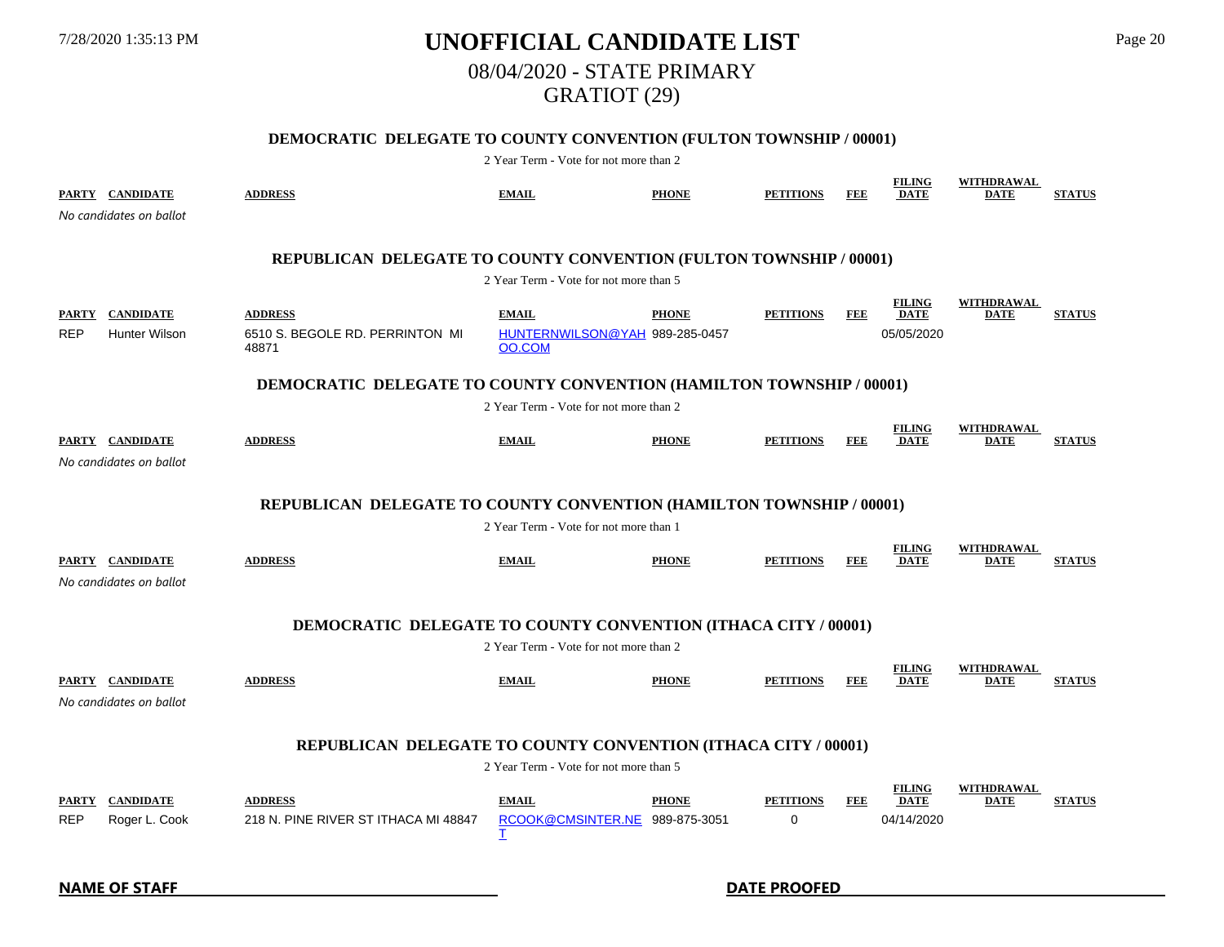# 7/28/2020 1:35:13 PM **UNOFFICIAL CANDIDATE LIST** Page 20 08/04/2020 - STATE PRIMARY GRATIOT (29)

### **DEMOCRATIC DELEGATE TO COUNTY CONVENTION (FULTON TOWNSHIP / 00001)**

| PARTY CANDIDATE               | No candidates on ballot                                              | <b>ADDRESS</b>                                                              | <b>EMAIL</b>                                             | <b>PHONE</b> | <b>PETITIONS</b>             | <b>FEE</b> | <b>FILING</b><br><b>DATE</b>               | <b>WITHDRAWAL</b><br><b>DATE</b> | <b>STATUS</b> |  |  |  |  |
|-------------------------------|----------------------------------------------------------------------|-----------------------------------------------------------------------------|----------------------------------------------------------|--------------|------------------------------|------------|--------------------------------------------|----------------------------------|---------------|--|--|--|--|
|                               |                                                                      | REPUBLICAN DELEGATE TO COUNTY CONVENTION (FULTON TOWNSHIP / 00001)          |                                                          |              |                              |            |                                            |                                  |               |  |  |  |  |
|                               |                                                                      |                                                                             | 2 Year Term - Vote for not more than 5                   |              |                              |            |                                            |                                  |               |  |  |  |  |
| PARTY CANDIDATE<br><b>REP</b> | <b>Hunter Wilson</b>                                                 | <b>ADDRESS</b><br>6510 S. BEGOLE RD. PERRINTON MI<br>48871                  | <b>EMAIL</b><br>HUNTERNWILSON@YAH 989-285-0457<br>OO.COM | <b>PHONE</b> | <b>PETITIONS</b>             | FEE        | <b>FILING</b><br><b>DATE</b><br>05/05/2020 | <b>WITHDRAWAL</b><br><b>DATE</b> | <b>STATUS</b> |  |  |  |  |
|                               |                                                                      | <b>DEMOCRATIC DELEGATE TO COUNTY CONVENTION (HAMILTON TOWNSHIP / 00001)</b> |                                                          |              |                              |            |                                            |                                  |               |  |  |  |  |
|                               |                                                                      |                                                                             | 2 Year Term - Vote for not more than 2                   |              |                              |            |                                            |                                  |               |  |  |  |  |
| PARTY CANDIDATE               | No candidates on ballot                                              | <b>ADDRESS</b>                                                              | <b>EMAIL</b>                                             | <b>PHONE</b> | <b>PETITIONS</b>             | FEE        | <b>FILING</b><br><b>DATE</b>               | WITHDRAWAL<br>DATE               | <b>STATUS</b> |  |  |  |  |
|                               | REPUBLICAN DELEGATE TO COUNTY CONVENTION (HAMILTON TOWNSHIP / 00001) |                                                                             |                                                          |              |                              |            |                                            |                                  |               |  |  |  |  |
|                               | 2 Year Term - Vote for not more than 1                               |                                                                             |                                                          |              |                              |            |                                            |                                  |               |  |  |  |  |
| PARTY CANDIDATE               | No candidates on ballot                                              | <b>ADDRESS</b>                                                              | <b>EMAIL</b>                                             | <b>PHONE</b> | <b>PETITIONS</b>             | <b>FEE</b> | <b>FILING</b><br><b>DATE</b>               | <b>WITHDRAWAL</b><br><b>DATE</b> | <b>STATUS</b> |  |  |  |  |
|                               |                                                                      | <b>DEMOCRATIC DELEGATE TO COUNTY CONVENTION (ITHACA CITY / 00001)</b>       |                                                          |              |                              |            |                                            |                                  |               |  |  |  |  |
|                               |                                                                      |                                                                             | 2 Year Term - Vote for not more than 2                   |              |                              |            |                                            |                                  |               |  |  |  |  |
| PARTY CANDIDATE               | No candidates on ballot                                              | <b>ADDRESS</b>                                                              | <b>EMAIL</b>                                             | <b>PHONE</b> | <b>PETITIONS</b>             | FEE        | <b>FILING</b><br><b>DATE</b>               | WITHDRAWAL<br><b>DATE</b>        | <b>STATUS</b> |  |  |  |  |
|                               |                                                                      | REPUBLICAN DELEGATE TO COUNTY CONVENTION (ITHACA CITY / 00001)              |                                                          |              |                              |            |                                            |                                  |               |  |  |  |  |
|                               |                                                                      |                                                                             | 2 Year Term - Vote for not more than 5                   |              |                              |            |                                            |                                  |               |  |  |  |  |
| <b>PARTY</b><br><b>REP</b>    | <b>CANDIDATE</b><br>Roger L. Cook                                    | <b>ADDRESS</b><br>218 N. PINE RIVER ST ITHACA MI 48847                      | <b>EMAIL</b><br>RCOOK@CMSINTER.NE 989-875-3051<br>Ι      | <b>PHONE</b> | <b>PETITIONS</b><br>$\Omega$ | FEE        | <b>FILING</b><br><b>DATE</b><br>04/14/2020 | <b>WITHDRAWAL</b><br><b>DATE</b> | <b>STATUS</b> |  |  |  |  |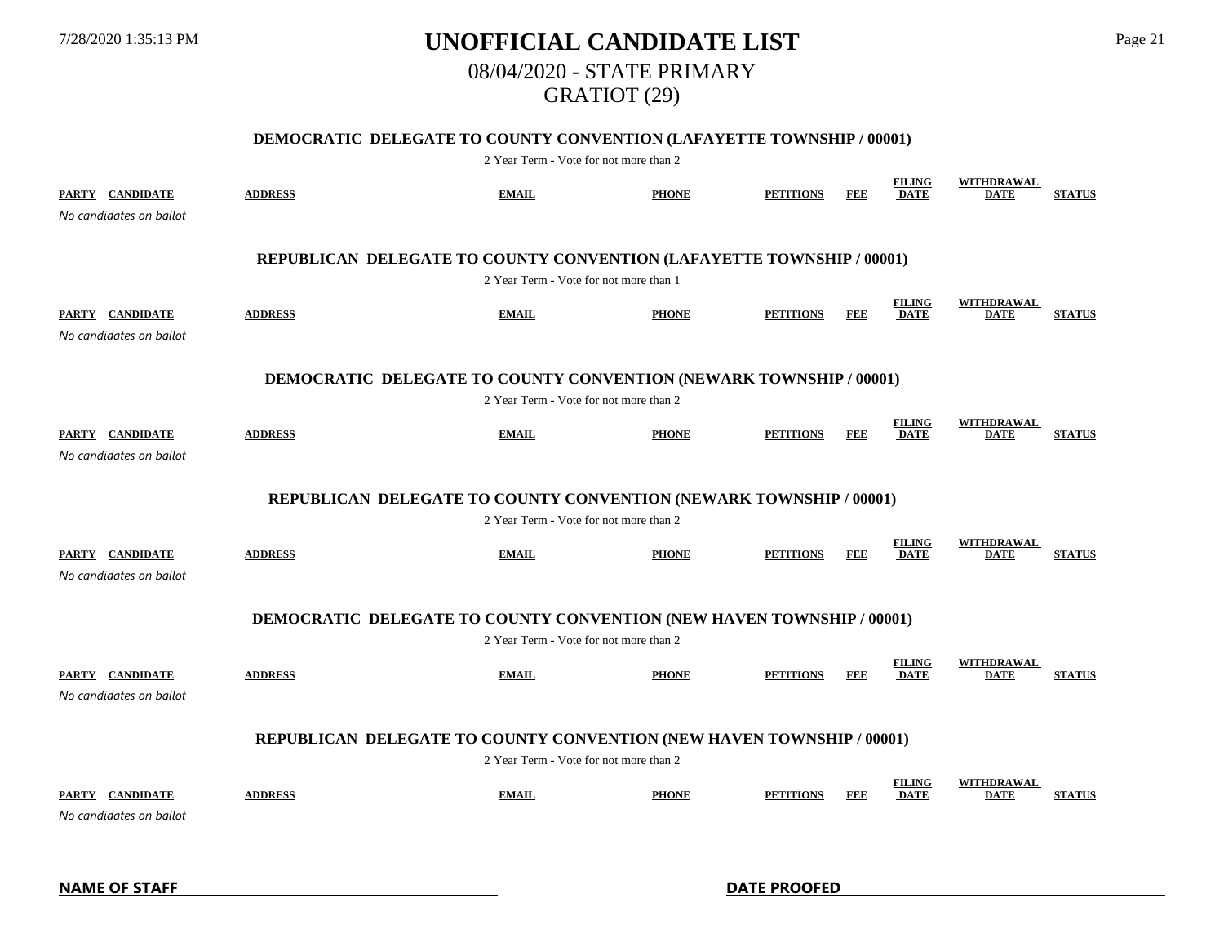# 7/28/2020 1:35:13 PM **UNOFFICIAL CANDIDATE LIST** Page 21 08/04/2020 - STATE PRIMARY GRATIOT (29)

### **DEMOCRATIC DELEGATE TO COUNTY CONVENTION (LAFAYETTE TOWNSHIP / 00001)**

| PARTY CANDIDATE<br>No candidates on ballot                         | <b>ADDRESS</b>                                                               | <b>EMAIL</b>                           | <b>PHONE</b> | <b>PETITIONS</b> | FEE        | <b>FILING</b><br><b>DATE</b> | <b>WITHDRAWAL</b><br><b>DATE</b> | <b>STATUS</b> |  |  |  |  |
|--------------------------------------------------------------------|------------------------------------------------------------------------------|----------------------------------------|--------------|------------------|------------|------------------------------|----------------------------------|---------------|--|--|--|--|
|                                                                    | REPUBLICAN DELEGATE TO COUNTY CONVENTION (LAFAYETTE TOWNSHIP / 00001)        |                                        |              |                  |            |                              |                                  |               |  |  |  |  |
|                                                                    |                                                                              | 2 Year Term - Vote for not more than 1 |              |                  |            |                              |                                  |               |  |  |  |  |
| PARTY CANDIDATE<br>No candidates on ballot                         | <b>ADDRESS</b>                                                               | <b>EMAIL</b>                           | <b>PHONE</b> | <b>PETITIONS</b> | <b>FEE</b> | <b>FILING</b><br><b>DATE</b> | <b>WITHDRAWAL</b><br><b>DATE</b> | <b>STATUS</b> |  |  |  |  |
|                                                                    | <b>DEMOCRATIC DELEGATE TO COUNTY CONVENTION (NEWARK TOWNSHIP / 00001)</b>    |                                        |              |                  |            |                              |                                  |               |  |  |  |  |
|                                                                    |                                                                              | 2 Year Term - Vote for not more than 2 |              |                  |            |                              |                                  |               |  |  |  |  |
| PARTY CANDIDATE<br>No candidates on ballot                         | <b>ADDRESS</b>                                                               | <b>EMAIL</b>                           | <b>PHONE</b> | <b>PETITIONS</b> | FEE        | <b>FILING</b><br>DATE        | <b>WITHDRAWAL</b><br>DATE        | <b>STATUS</b> |  |  |  |  |
| REPUBLICAN DELEGATE TO COUNTY CONVENTION (NEWARK TOWNSHIP / 00001) |                                                                              |                                        |              |                  |            |                              |                                  |               |  |  |  |  |
|                                                                    | 2 Year Term - Vote for not more than 2                                       |                                        |              |                  |            |                              |                                  |               |  |  |  |  |
| PARTY CANDIDATE<br>No candidates on ballot                         | <b>ADDRESS</b>                                                               | <b>EMAIL</b>                           | <b>PHONE</b> | <b>PETITIONS</b> | <b>FEE</b> | <b>FILING</b><br><b>DATE</b> | WITHDRAWAL<br><b>DATE</b>        | <b>STATUS</b> |  |  |  |  |
|                                                                    | <b>DEMOCRATIC DELEGATE TO COUNTY CONVENTION (NEW HAVEN TOWNSHIP / 00001)</b> |                                        |              |                  |            |                              |                                  |               |  |  |  |  |
|                                                                    |                                                                              | 2 Year Term - Vote for not more than 2 |              |                  |            |                              |                                  |               |  |  |  |  |
| PARTY CANDIDATE<br>No candidates on ballot                         | <b>ADDRESS</b>                                                               | <b>EMAIL</b>                           | <b>PHONE</b> | <b>PETITIONS</b> | <b>FEE</b> | <b>FILING</b><br><b>DATE</b> | <b>WITHDRAWAL</b><br><b>DATE</b> | <b>STATUS</b> |  |  |  |  |
|                                                                    | REPUBLICAN DELEGATE TO COUNTY CONVENTION (NEW HAVEN TOWNSHIP / 00001)        |                                        |              |                  |            |                              |                                  |               |  |  |  |  |
|                                                                    |                                                                              | 2 Year Term - Vote for not more than 2 |              |                  |            |                              |                                  |               |  |  |  |  |
| PARTY CANDIDATE<br>No candidates on ballot                         | <b>ADDRESS</b>                                                               | <b>EMAIL</b>                           | <b>PHONE</b> | <b>PETITIONS</b> | <b>FEE</b> | <b>FILING</b><br><b>DATE</b> | WITHDRAWAL<br><b>DATE</b>        | <b>STATUS</b> |  |  |  |  |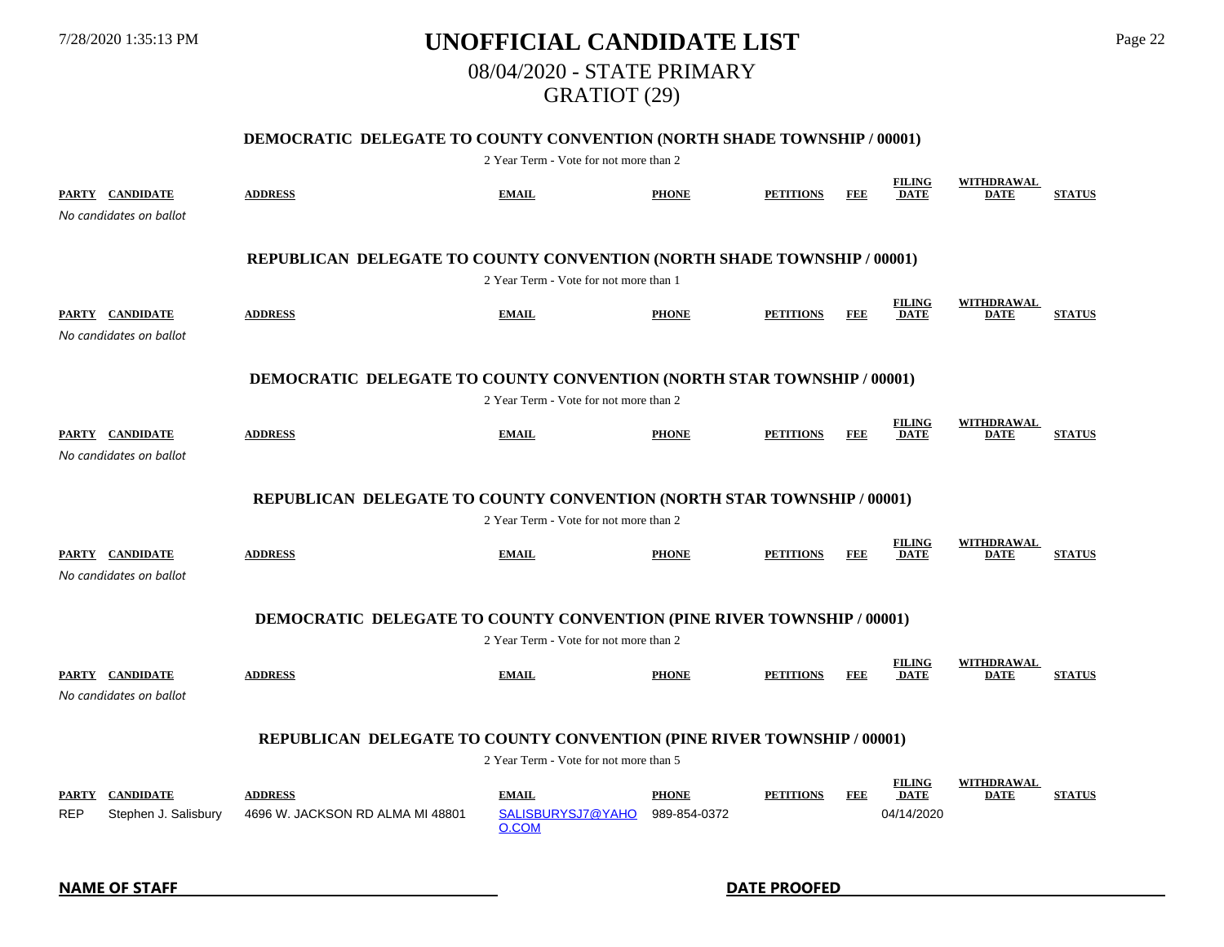# 7/28/2020 1:35:13 PM **UNOFFICIAL CANDIDATE LIST** Page 22 08/04/2020 - STATE PRIMARY GRATIOT (29)

### **DEMOCRATIC DELEGATE TO COUNTY CONVENTION (NORTH SHADE TOWNSHIP / 00001)**

|            | PARTY CANDIDATE<br>No candidates on ballot | <b>ADDRESS</b>                                                                | <b>EMAIL</b>                               | <b>PHONE</b>                 | <b>PETITIONS</b> | <b>FEE</b> | <b>FILING</b><br><b>DATE</b>               | <b>WITHDRAWAL</b><br><b>DATE</b> | <b>STATUS</b> |
|------------|--------------------------------------------|-------------------------------------------------------------------------------|--------------------------------------------|------------------------------|------------------|------------|--------------------------------------------|----------------------------------|---------------|
|            |                                            | REPUBLICAN DELEGATE TO COUNTY CONVENTION (NORTH SHADE TOWNSHIP / 00001)       |                                            |                              |                  |            |                                            |                                  |               |
|            |                                            |                                                                               | 2 Year Term - Vote for not more than 1     |                              |                  |            |                                            |                                  |               |
|            | PARTY CANDIDATE<br>No candidates on ballot | <b>ADDRESS</b>                                                                | <b>EMAIL</b>                               | <b>PHONE</b>                 | <b>PETITIONS</b> | <b>FEE</b> | <b>FILING</b><br><b>DATE</b>               | WITHDRAWAL<br><b>DATE</b>        | <b>STATUS</b> |
|            |                                            | <b>DEMOCRATIC DELEGATE TO COUNTY CONVENTION (NORTH STAR TOWNSHIP / 00001)</b> |                                            |                              |                  |            |                                            |                                  |               |
|            |                                            |                                                                               | 2 Year Term - Vote for not more than 2     |                              |                  |            |                                            |                                  |               |
|            | PARTY CANDIDATE<br>No candidates on ballot | <b>ADDRESS</b>                                                                | <b>EMAIL</b>                               | <b>PHONE</b>                 | <b>PETITIONS</b> | FEE        | <b>FILING</b><br><b>DATE</b>               | <b>WITHDRAWAL</b><br><b>DATE</b> | <b>STATUS</b> |
|            |                                            | REPUBLICAN DELEGATE TO COUNTY CONVENTION (NORTH STAR TOWNSHIP / 00001)        |                                            |                              |                  |            |                                            |                                  |               |
|            |                                            |                                                                               | 2 Year Term - Vote for not more than 2     |                              |                  |            |                                            |                                  |               |
|            | PARTY CANDIDATE<br>No candidates on ballot | <b>ADDRESS</b>                                                                | <b>EMAIL</b>                               | <b>PHONE</b>                 | <b>PETITIONS</b> | FEE        | <b>FILING</b><br><b>DATE</b>               | WITHDRAWAL<br><b>DATE</b>        | <b>STATUS</b> |
|            |                                            | <b>DEMOCRATIC DELEGATE TO COUNTY CONVENTION (PINE RIVER TOWNSHIP / 00001)</b> |                                            |                              |                  |            |                                            |                                  |               |
|            |                                            |                                                                               | 2 Year Term - Vote for not more than 2     |                              |                  |            |                                            |                                  |               |
|            | PARTY CANDIDATE<br>No candidates on ballot | <b>ADDRESS</b>                                                                | <b>EMAIL</b>                               | <b>PHONE</b>                 | <b>PETITIONS</b> | FEE        | <b>FILING</b><br><b>DATE</b>               | <b>WITHDRAWAL</b><br><b>DATE</b> | <b>STATUS</b> |
|            |                                            | REPUBLICAN DELEGATE TO COUNTY CONVENTION (PINE RIVER TOWNSHIP / 00001)        |                                            |                              |                  |            |                                            |                                  |               |
|            |                                            |                                                                               | 2 Year Term - Vote for not more than 5     |                              |                  |            |                                            |                                  |               |
| <b>REP</b> | PARTY CANDIDATE<br>Stephen J. Salisbury    | <b>ADDRESS</b><br>4696 W. JACKSON RD ALMA MI 48801                            | <b>EMAIL</b><br>SALISBURYSJ7@YAHO<br>O.COM | <b>PHONE</b><br>989-854-0372 | <b>PETITIONS</b> | FEE        | <b>FILING</b><br><b>DATE</b><br>04/14/2020 | WITHDRAWAL<br><b>DATE</b>        | <b>STATUS</b> |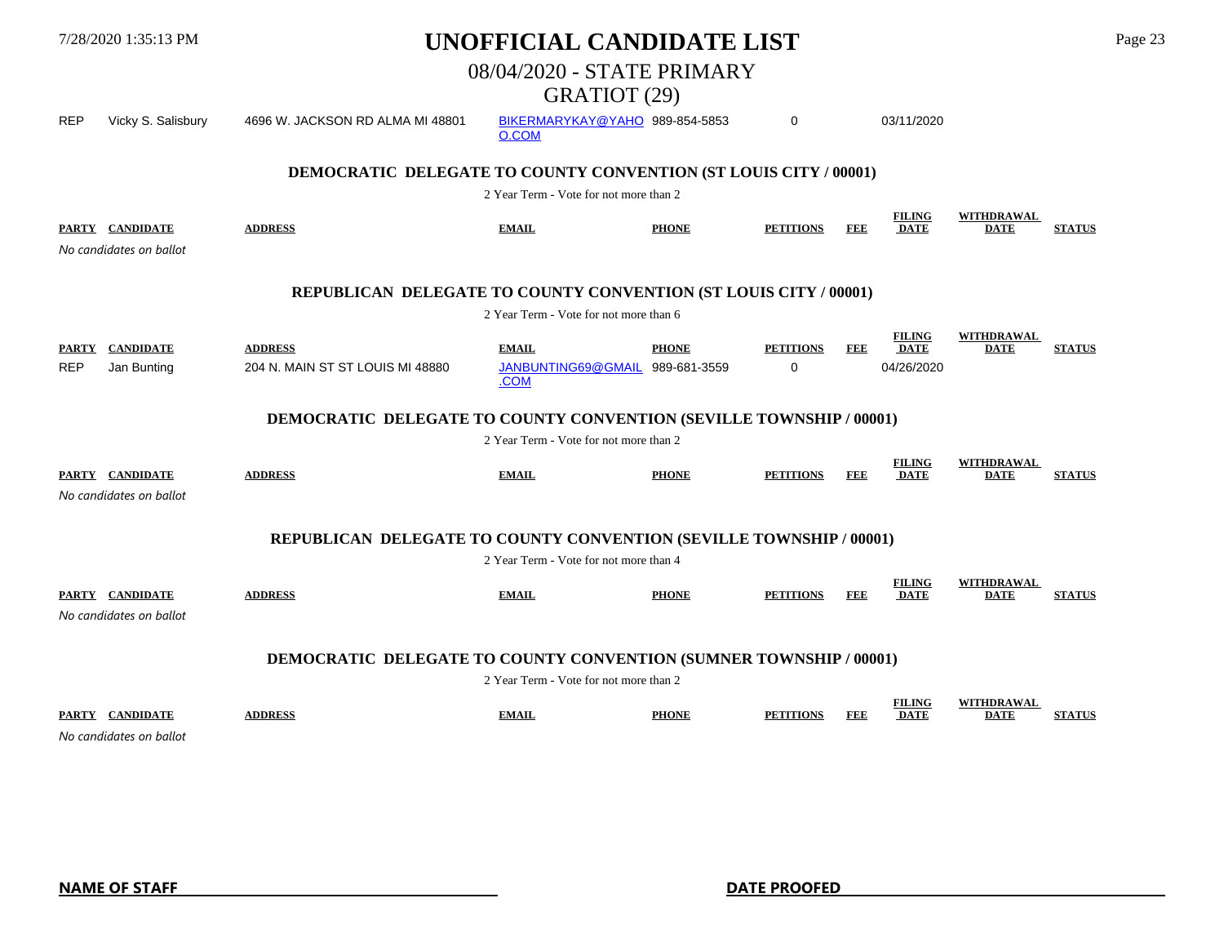|            |                                                                           |                                                                            | 08/04/2020 - STATE PRIMARY<br>GRATIOT (29) |              |                  |            |                              |                                  |               |  |
|------------|---------------------------------------------------------------------------|----------------------------------------------------------------------------|--------------------------------------------|--------------|------------------|------------|------------------------------|----------------------------------|---------------|--|
| <b>REP</b> | Vicky S. Salisbury                                                        | 4696 W. JACKSON RD ALMA MI 48801                                           | BIKERMARYKAY@YAHO 989-854-5853<br>O.COM    |              | 0                |            | 03/11/2020                   |                                  |               |  |
|            |                                                                           | <b>DEMOCRATIC DELEGATE TO COUNTY CONVENTION (ST LOUIS CITY / 00001)</b>    |                                            |              |                  |            |                              |                                  |               |  |
|            |                                                                           |                                                                            | 2 Year Term - Vote for not more than 2     |              |                  |            |                              |                                  |               |  |
|            | PARTY CANDIDATE<br>No candidates on ballot                                | <b>ADDRESS</b>                                                             | <b>EMAIL</b>                               | <b>PHONE</b> | <b>PETITIONS</b> | <b>FEE</b> | <b>FILING</b><br><b>DATE</b> | WITHDRAWAL<br><b>DATE</b>        | <b>STATUS</b> |  |
|            |                                                                           |                                                                            |                                            |              |                  |            |                              |                                  |               |  |
|            |                                                                           | REPUBLICAN DELEGATE TO COUNTY CONVENTION (ST LOUIS CITY / 00001)           |                                            |              |                  |            |                              |                                  |               |  |
|            |                                                                           |                                                                            | 2 Year Term - Vote for not more than 6     |              |                  |            |                              |                                  |               |  |
|            | PARTY CANDIDATE                                                           | <b>ADDRESS</b>                                                             | <b>EMAIL</b>                               | <b>PHONE</b> | <b>PETITIONS</b> | FEE        | <b>FILING</b><br><b>DATE</b> | WITHDRAWAL<br><b>DATE</b>        | <b>STATUS</b> |  |
| <b>REP</b> | Jan Bunting                                                               | 204 N. MAIN ST ST LOUIS MI 48880                                           | JANBUNTING69@GMAIL 989-681-3559<br>.COM    |              | 0                |            | 04/26/2020                   |                                  |               |  |
|            |                                                                           | <b>DEMOCRATIC DELEGATE TO COUNTY CONVENTION (SEVILLE TOWNSHIP / 00001)</b> |                                            |              |                  |            |                              |                                  |               |  |
|            |                                                                           |                                                                            | 2 Year Term - Vote for not more than 2     |              |                  |            |                              |                                  |               |  |
|            | PARTY CANDIDATE                                                           | <b>ADDRESS</b>                                                             | <b>EMAIL</b>                               | <b>PHONE</b> | <b>PETITIONS</b> | FEE        | <b>FILING</b><br><b>DATE</b> | <b>WITHDRAWAL</b><br>DATE        | <b>STATUS</b> |  |
|            | No candidates on ballot                                                   |                                                                            |                                            |              |                  |            |                              |                                  |               |  |
|            |                                                                           | REPUBLICAN DELEGATE TO COUNTY CONVENTION (SEVILLE TOWNSHIP / 00001)        |                                            |              |                  |            |                              |                                  |               |  |
|            | 2 Year Term - Vote for not more than 4                                    |                                                                            |                                            |              |                  |            |                              |                                  |               |  |
|            | PARTY CANDIDATE<br>No candidates on ballot                                | <b>ADDRESS</b>                                                             | <b>EMAIL</b>                               | <b>PHONE</b> | <b>PETITIONS</b> | <b>FEE</b> | <b>FILING</b><br><b>DATE</b> | WITHDRAWAL<br><b>DATE</b>        | <b>STATUS</b> |  |
|            |                                                                           |                                                                            |                                            |              |                  |            |                              |                                  |               |  |
|            | <b>DEMOCRATIC DELEGATE TO COUNTY CONVENTION (SUMNER TOWNSHIP / 00001)</b> |                                                                            |                                            |              |                  |            |                              |                                  |               |  |
|            |                                                                           |                                                                            | 2 Year Term - Vote for not more than 2     |              |                  |            |                              |                                  |               |  |
|            | PARTY CANDIDATE<br>No condidator on hollet                                | <b>ADDRESS</b>                                                             | <b>EMAIL</b>                               | <b>PHONE</b> | <b>PETITIONS</b> | FEE        | <b>FILING</b><br><b>DATE</b> | <b>WITHDRAWAL</b><br><b>DATE</b> | <b>STATUS</b> |  |